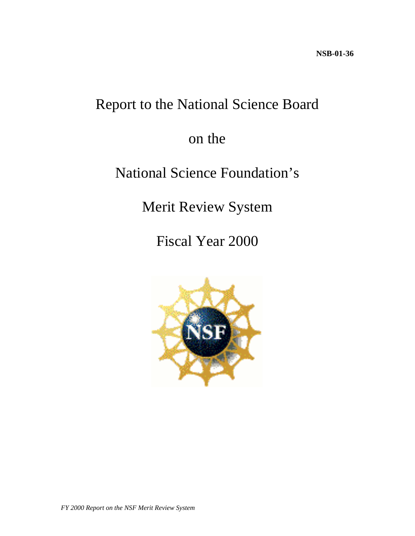# Report to the National Science Board

## on the

## National Science Foundation's

Merit Review System

Fiscal Year 2000

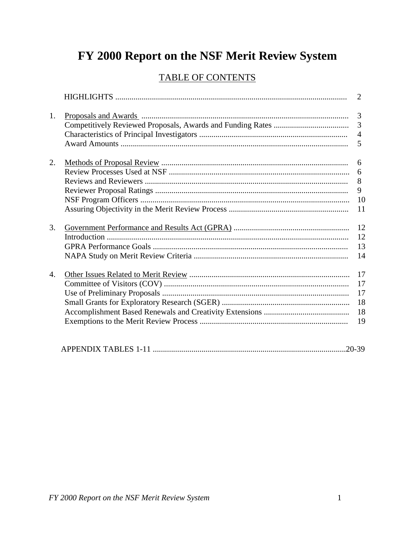# FY 2000 Report on the NSF Merit Review System

### **TABLE OF CONTENTS**

|    | 2                                          |
|----|--------------------------------------------|
| 1. | $\overline{3}$<br>3<br>$\overline{4}$<br>5 |
| 2. | 6<br>6<br>8<br>9<br>10<br>11               |
| 3. | 12<br>12<br>13<br>14                       |
| 4. | 17<br>17<br>17<br>18<br>18<br>19           |
|    | $.20 - 39$                                 |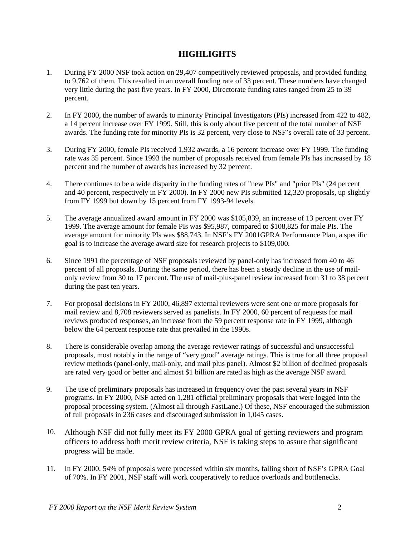#### **HIGHLIGHTS**

- 1. During FY 2000 NSF took action on 29,407 competitively reviewed proposals, and provided funding to 9,762 of them. This resulted in an overall funding rate of 33 percent. These numbers have changed very little during the past five years. In FY 2000, Directorate funding rates ranged from 25 to 39 percent.
- 2. In FY 2000, the number of awards to minority Principal Investigators (PIs) increased from 422 to 482, a 14 percent increase over FY 1999. Still, this is only about five percent of the total number of NSF awards. The funding rate for minority PIs is 32 percent, very close to NSF's overall rate of 33 percent.
- 3. During FY 2000, female PIs received 1,932 awards, a 16 percent increase over FY 1999. The funding rate was 35 percent. Since 1993 the number of proposals received from female PIs has increased by 18 percent and the number of awards has increased by 32 percent.
- 4. There continues to be a wide disparity in the funding rates of "new PIs" and "prior PIs" (24 percent and 40 percent, respectively in FY 2000). In FY 2000 new PIs submitted 12,320 proposals, up slightly from FY 1999 but down by 15 percent from FY 1993-94 levels.
- 5. The average annualized award amount in FY 2000 was \$105,839, an increase of 13 percent over FY 1999. The average amount for female PIs was \$95,987, compared to \$108,825 for male PIs. The average amount for minority PIs was \$88,743. In NSF's FY 2001GPRA Performance Plan, a specific goal is to increase the average award size for research projects to \$109,000.
- 6. Since 1991 the percentage of NSF proposals reviewed by panel-only has increased from 40 to 46 percent of all proposals. During the same period, there has been a steady decline in the use of mailonly review from 30 to 17 percent. The use of mail-plus-panel review increased from 31 to 38 percent during the past ten years.
- 7. For proposal decisions in FY 2000, 46,897 external reviewers were sent one or more proposals for mail review and 8,708 reviewers served as panelists. In FY 2000, 60 percent of requests for mail reviews produced responses, an increase from the 59 percent response rate in FY 1999, although below the 64 percent response rate that prevailed in the 1990s.
- 8. There is considerable overlap among the average reviewer ratings of successful and unsuccessful proposals, most notably in the range of "very good" average ratings. This is true for all three proposal review methods (panel-only, mail-only, and mail plus panel). Almost \$2 billion of declined proposals are rated very good or better and almost \$1 billion are rated as high as the average NSF award.
- 9. The use of preliminary proposals has increased in frequency over the past several years in NSF programs. In FY 2000, NSF acted on 1,281 official preliminary proposals that were logged into the proposal processing system. (Almost all through FastLane.) Of these, NSF encouraged the submission of full proposals in 236 cases and discouraged submission in 1,045 cases.
- 10. Although NSF did not fully meet its FY 2000 GPRA goal of getting reviewers and program officers to address both merit review criteria, NSF is taking steps to assure that significant progress will be made.
- 11. In FY 2000, 54% of proposals were processed within six months, falling short of NSF's GPRA Goal of 70%. In FY 2001, NSF staff will work cooperatively to reduce overloads and bottlenecks.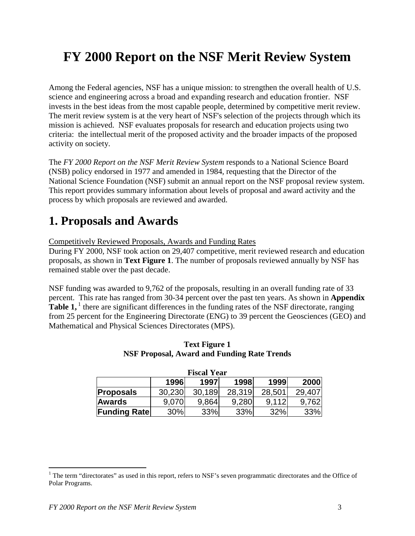## **FY 2000 Report on the NSF Merit Review System**

Among the Federal agencies, NSF has a unique mission: to strengthen the overall health of U.S. science and engineering across a broad and expanding research and education frontier. NSF invests in the best ideas from the most capable people, determined by competitive merit review. The merit review system is at the very heart of NSF's selection of the projects through which its mission is achieved. NSF evaluates proposals for research and education projects using two criteria: the intellectual merit of the proposed activity and the broader impacts of the proposed activity on society.

The *FY 2000 Report on the NSF Merit Review System* responds to a National Science Board (NSB) policy endorsed in 1977 and amended in 1984, requesting that the Director of the National Science Foundation (NSF) submit an annual report on the NSF proposal review system. This report provides summary information about levels of proposal and award activity and the process by which proposals are reviewed and awarded.

### **1. Proposals and Awards**

Competitively Reviewed Proposals, Awards and Funding Rates

During FY 2000, NSF took action on 29,407 competitive, merit reviewed research and education proposals, as shown in **Text Figure 1**. The number of proposals reviewed annually by NSF has remained stable over the past decade.

NSF funding was awarded to 9,762 of the proposals, resulting in an overall funding rate of 33 percent. This rate has ranged from 30-34 percent over the past ten years. As shown in **Appendix Table 1,** <sup>1</sup> there are significant differences in the funding rates of the NSF directorate, ranging from 25 percent for the Engineering Directorate (ENG) to 39 percent the Geosciences (GEO) and Mathematical and Physical Sciences Directorates (MPS).

|                                      |        | <b>Fiscal Year</b> |        |        |        |  |  |  |  |
|--------------------------------------|--------|--------------------|--------|--------|--------|--|--|--|--|
| 1999<br>1996<br>2000<br>1998<br>1997 |        |                    |        |        |        |  |  |  |  |
| <b>Proposals</b>                     | 30,230 | 30,189             | 28,319 | 28,501 | 29,407 |  |  |  |  |
| <b>Awards</b>                        | 9.070  | 9,864              | 9,280  | 9.112  | 9.762  |  |  |  |  |
| <b>Funding Rate</b>                  | 30%    | 33%                | 33%    | 32%    | 33%    |  |  |  |  |

#### **Text Figure 1 NSF Proposal, Award and Funding Rate Trends**

 $\overline{a}$ 

<sup>&</sup>lt;sup>1</sup> The term "directorates" as used in this report, refers to NSF's seven programmatic directorates and the Office of Polar Programs.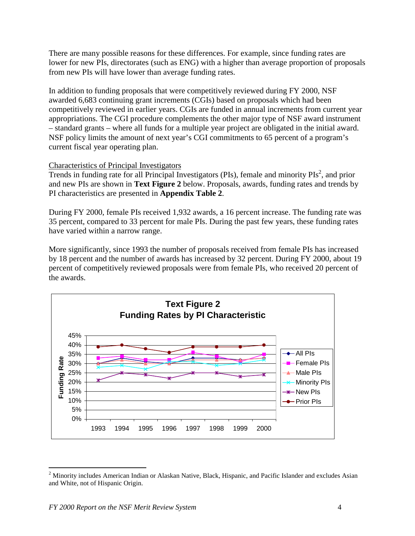There are many possible reasons for these differences. For example, since funding rates are lower for new PIs, directorates (such as ENG) with a higher than average proportion of proposals from new PIs will have lower than average funding rates.

In addition to funding proposals that were competitively reviewed during FY 2000, NSF awarded 6,683 continuing grant increments (CGIs) based on proposals which had been competitively reviewed in earlier years. CGIs are funded in annual increments from current year appropriations. The CGI procedure complements the other major type of NSF award instrument – standard grants – where all funds for a multiple year project are obligated in the initial award. NSF policy limits the amount of next year's CGI commitments to 65 percent of a program's current fiscal year operating plan.

#### Characteristics of Principal Investigators

Trends in funding rate for all Principal Investigators (PIs), female and minority PIs<sup>2</sup>, and prior and new PIs are shown in **Text Figure 2** below. Proposals, awards, funding rates and trends by PI characteristics are presented in **Appendix Table 2**.

During FY 2000, female PIs received 1,932 awards, a 16 percent increase. The funding rate was 35 percent, compared to 33 percent for male PIs. During the past few years, these funding rates have varied within a narrow range.

More significantly, since 1993 the number of proposals received from female PIs has increased by 18 percent and the number of awards has increased by 32 percent. During FY 2000, about 19 percent of competitively reviewed proposals were from female PIs, who received 20 percent of the awards.



 $\overline{a}$ <sup>2</sup> Minority includes American Indian or Alaskan Native, Black, Hispanic, and Pacific Islander and excludes Asian and White, not of Hispanic Origin.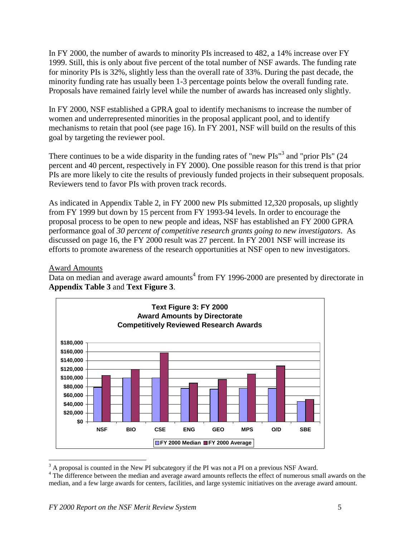In FY 2000, the number of awards to minority PIs increased to 482, a 14% increase over FY 1999. Still, this is only about five percent of the total number of NSF awards. The funding rate for minority PIs is 32%, slightly less than the overall rate of 33%. During the past decade, the minority funding rate has usually been 1-3 percentage points below the overall funding rate. Proposals have remained fairly level while the number of awards has increased only slightly.

In FY 2000, NSF established a GPRA goal to identify mechanisms to increase the number of women and underrepresented minorities in the proposal applicant pool, and to identify mechanisms to retain that pool (see page 16). In FY 2001, NSF will build on the results of this goal by targeting the reviewer pool.

There continues to be a wide disparity in the funding rates of "new  $PIs''^3$  and "prior  $PIs''$  (24 percent and 40 percent, respectively in FY 2000). One possible reason for this trend is that prior PIs are more likely to cite the results of previously funded projects in their subsequent proposals. Reviewers tend to favor PIs with proven track records.

As indicated in Appendix Table 2, in FY 2000 new PIs submitted 12,320 proposals, up slightly from FY 1999 but down by 15 percent from FY 1993-94 levels. In order to encourage the proposal process to be open to new people and ideas, NSF has established an FY 2000 GPRA performance goal of *30 percent of competitive research grants going to new investigators*. As discussed on page 16, the FY 2000 result was 27 percent. In FY 2001 NSF will increase its efforts to promote awareness of the research opportunities at NSF open to new investigators.

#### Award Amounts

Data on median and average award amounts<sup>4</sup> from FY 1996-2000 are presented by directorate in **Appendix Table 3** and **Text Figure 3**.



 $3$  A proposal is counted in the New PI subcategory if the PI was not a PI on a previous NSF Award.

<sup>&</sup>lt;sup>4</sup> The difference between the median and average award amounts reflects the effect of numerous small awards on the median, and a few large awards for centers, facilities, and large systemic initiatives on the average award amount.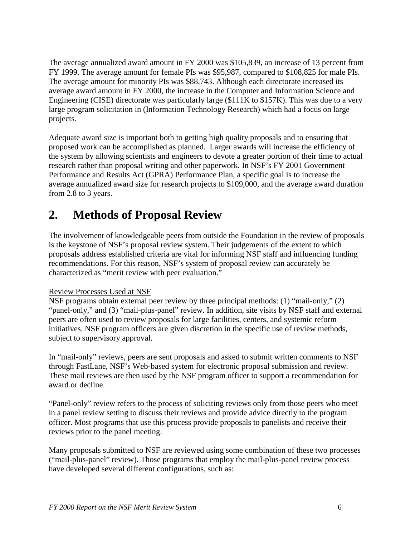The average annualized award amount in FY 2000 was \$105,839, an increase of 13 percent from FY 1999. The average amount for female PIs was \$95,987, compared to \$108,825 for male PIs. The average amount for minority PIs was \$88,743. Although each directorate increased its average award amount in FY 2000, the increase in the Computer and Information Science and Engineering (CISE) directorate was particularly large (\$111K to \$157K). This was due to a very large program solicitation in (Information Technology Research) which had a focus on large projects.

Adequate award size is important both to getting high quality proposals and to ensuring that proposed work can be accomplished as planned. Larger awards will increase the efficiency of the system by allowing scientists and engineers to devote a greater portion of their time to actual research rather than proposal writing and other paperwork. In NSF's FY 2001 Government Performance and Results Act (GPRA) Performance Plan, a specific goal is to increase the average annualized award size for research projects to \$109,000, and the average award duration from 2.8 to 3 years.

### **2. Methods of Proposal Review**

The involvement of knowledgeable peers from outside the Foundation in the review of proposals is the keystone of NSF's proposal review system. Their judgements of the extent to which proposals address established criteria are vital for informing NSF staff and influencing funding recommendations. For this reason, NSF's system of proposal review can accurately be characterized as "merit review with peer evaluation."

#### Review Processes Used at NSF

NSF programs obtain external peer review by three principal methods: (1) "mail-only," (2) "panel-only," and (3) "mail-plus-panel" review. In addition, site visits by NSF staff and external peers are often used to review proposals for large facilities, centers, and systemic reform initiatives. NSF program officers are given discretion in the specific use of review methods, subject to supervisory approval.

In "mail-only" reviews, peers are sent proposals and asked to submit written comments to NSF through FastLane, NSF's Web-based system for electronic proposal submission and review. These mail reviews are then used by the NSF program officer to support a recommendation for award or decline.

"Panel-only" review refers to the process of soliciting reviews only from those peers who meet in a panel review setting to discuss their reviews and provide advice directly to the program officer. Most programs that use this process provide proposals to panelists and receive their reviews prior to the panel meeting.

Many proposals submitted to NSF are reviewed using some combination of these two processes ("mail-plus-panel" review). Those programs that employ the mail-plus-panel review process have developed several different configurations, such as: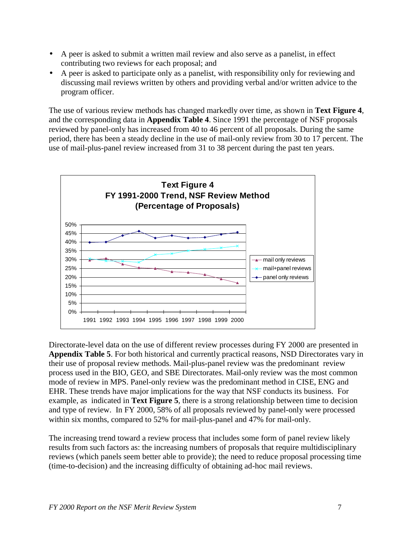- A peer is asked to submit a written mail review and also serve as a panelist, in effect contributing two reviews for each proposal; and
- A peer is asked to participate only as a panelist, with responsibility only for reviewing and discussing mail reviews written by others and providing verbal and/or written advice to the program officer.

The use of various review methods has changed markedly over time, as shown in **Text Figure 4**, and the corresponding data in **Appendix Table 4**. Since 1991 the percentage of NSF proposals reviewed by panel-only has increased from 40 to 46 percent of all proposals. During the same period, there has been a steady decline in the use of mail-only review from 30 to 17 percent. The use of mail-plus-panel review increased from 31 to 38 percent during the past ten years.



Directorate-level data on the use of different review processes during FY 2000 are presented in **Appendix Table 5**. For both historical and currently practical reasons, NSD Directorates vary in their use of proposal review methods. Mail-plus-panel review was the predominant review process used in the BIO, GEO, and SBE Directorates. Mail-only review was the most common mode of review in MPS. Panel-only review was the predominant method in CISE, ENG and EHR. These trends have major implications for the way that NSF conducts its business. For example, as indicated in **Text Figure 5**, there is a strong relationship between time to decision and type of review. In FY 2000, 58% of all proposals reviewed by panel-only were processed within six months, compared to 52% for mail-plus-panel and 47% for mail-only.

The increasing trend toward a review process that includes some form of panel review likely results from such factors as: the increasing numbers of proposals that require multidisciplinary reviews (which panels seem better able to provide); the need to reduce proposal processing time (time-to-decision) and the increasing difficulty of obtaining ad-hoc mail reviews.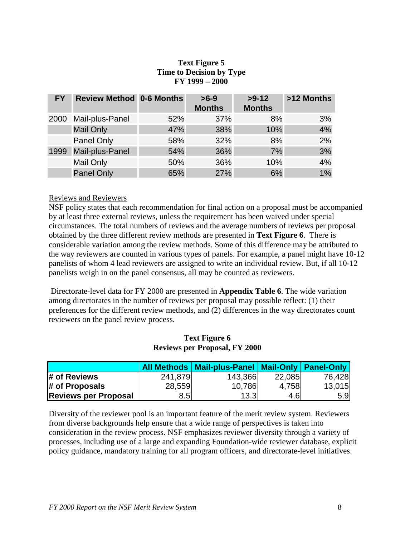#### **Text Figure 5 Time to Decision by Type FY 1999 – 2000**

| <b>FY</b> | <b>Review Method 0-6 Months</b> |     | $>6-9$<br><b>Months</b> | $>9-12$<br><b>Months</b> | >12 Months |
|-----------|---------------------------------|-----|-------------------------|--------------------------|------------|
| 2000      | Mail-plus-Panel                 | 52% | 37%                     | 8%                       | 3%         |
|           | <b>Mail Only</b>                | 47% | 38%                     | 10%                      | 4%         |
|           | Panel Only                      | 58% | 32%                     | 8%                       | 2%         |
| 1999      | Mail-plus-Panel                 | 54% | 36%                     | 7%                       | 3%         |
|           | Mail Only                       | 50% | 36%                     | 10%                      | 4%         |
|           | <b>Panel Only</b>               | 65% | 27%                     | 6%                       | 1%         |

#### Reviews and Reviewers

NSF policy states that each recommendation for final action on a proposal must be accompanied by at least three external reviews, unless the requirement has been waived under special circumstances. The total numbers of reviews and the average numbers of reviews per proposal obtained by the three different review methods are presented in **Text Figure 6**. There is considerable variation among the review methods. Some of this difference may be attributed to the way reviewers are counted in various types of panels. For example, a panel might have 10-12 panelists of whom 4 lead reviewers are assigned to write an individual review. But, if all 10-12 panelists weigh in on the panel consensus, all may be counted as reviewers.

 Directorate-level data for FY 2000 are presented in **Appendix Table 6**. The wide variation among directorates in the number of reviews per proposal may possible reflect: (1) their preferences for the different review methods, and (2) differences in the way directorates count reviewers on the panel review process.

#### **Text Figure 6 Reviews per Proposal, FY 2000**

|                             |         | All Methods   Mail-plus-Panel   Mail-Only   Panel-Only |        |        |
|-----------------------------|---------|--------------------------------------------------------|--------|--------|
| # of Reviews                | 241,879 | 143,366                                                | 22,085 | 76,428 |
| # of Proposals              | 28,559  | 10,786                                                 | 4,758  | 13,015 |
| <b>Reviews per Proposal</b> | 8.5     | 13.3                                                   | 4.6    | 5.9    |

Diversity of the reviewer pool is an important feature of the merit review system. Reviewers from diverse backgrounds help ensure that a wide range of perspectives is taken into consideration in the review process. NSF emphasizes reviewer diversity through a variety of processes, including use of a large and expanding Foundation-wide reviewer database, explicit policy guidance, mandatory training for all program officers, and directorate-level initiatives.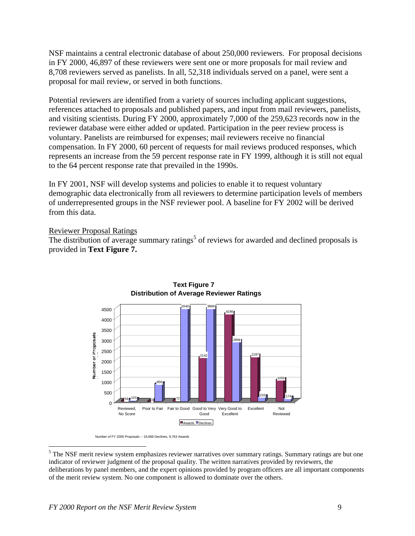NSF maintains a central electronic database of about 250,000 reviewers. For proposal decisions in FY 2000, 46,897 of these reviewers were sent one or more proposals for mail review and 8,708 reviewers served as panelists. In all, 52,318 individuals served on a panel, were sent a proposal for mail review, or served in both functions.

Potential reviewers are identified from a variety of sources including applicant suggestions, references attached to proposals and published papers, and input from mail reviewers, panelists, and visiting scientists. During FY 2000, approximately 7,000 of the 259,623 records now in the reviewer database were either added or updated. Participation in the peer review process is voluntary. Panelists are reimbursed for expenses; mail reviewers receive no financial compensation. In FY 2000, 60 percent of requests for mail reviews produced responses, which represents an increase from the 59 percent response rate in FY 1999, although it is still not equal to the 64 percent response rate that prevailed in the 1990s.

In FY 2001, NSF will develop systems and policies to enable it to request voluntary demographic data electronically from all reviewers to determine participation levels of members of underrepresented groups in the NSF reviewer pool. A baseline for FY 2002 will be derived from this data.

#### Reviewer Proposal Ratings

The distribution of average summary ratings<sup>5</sup> of reviews for awarded and declined proposals is provided in **Text Figure 7.**



**Text Figure 7 Distribution of Average Reviewer Ratings**

Number of FY 2000 Proposals -- 19,669 Declines, 9,763 Awards

1

<sup>&</sup>lt;sup>5</sup> The NSF merit review system emphasizes reviewer narratives over summary ratings. Summary ratings are but one indicator of reviewer judgment of the proposal quality. The written narratives provided by reviewers, the deliberations by panel members, and the expert opinions provided by program officers are all important components of the merit review system. No one component is allowed to dominate over the others.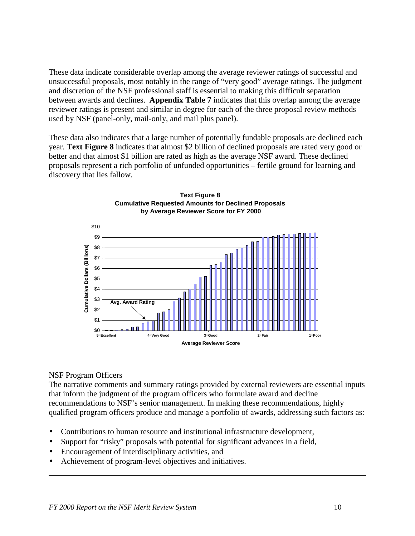These data indicate considerable overlap among the average reviewer ratings of successful and unsuccessful proposals, most notably in the range of "very good" average ratings. The judgment and discretion of the NSF professional staff is essential to making this difficult separation between awards and declines. **Appendix Table 7** indicates that this overlap among the average reviewer ratings is present and similar in degree for each of the three proposal review methods used by NSF (panel-only, mail-only, and mail plus panel).

These data also indicates that a large number of potentially fundable proposals are declined each year. **Text Figure 8** indicates that almost \$2 billion of declined proposals are rated very good or better and that almost \$1 billion are rated as high as the average NSF award. These declined proposals represent a rich portfolio of unfunded opportunities – fertile ground for learning and discovery that lies fallow.





#### NSF Program Officers

 $\overline{a}$ 

The narrative comments and summary ratings provided by external reviewers are essential inputs that inform the judgment of the program officers who formulate award and decline recommendations to NSF's senior management. In making these recommendations, highly qualified program officers produce and manage a portfolio of awards, addressing such factors as:

- Contributions to human resource and institutional infrastructure development,
- Support for "risky" proposals with potential for significant advances in a field,
- Encouragement of interdisciplinary activities, and
- Achievement of program-level objectives and initiatives.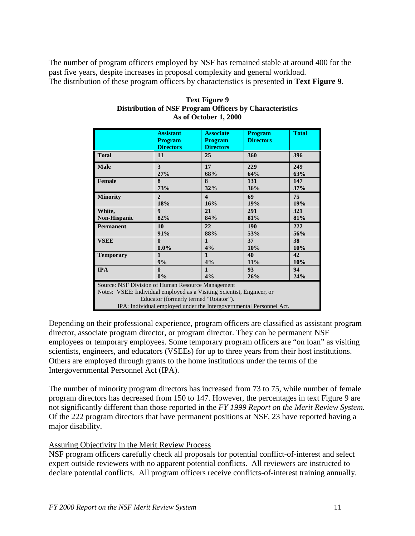The number of program officers employed by NSF has remained stable at around 400 for the past five years, despite increases in proposal complexity and general workload. The distribution of these program officers by characteristics is presented in **Text Figure 9**.

|                                                                                                                                                                                                                                             | <b>Assistant</b><br><b>Program</b><br><b>Directors</b> | <b>Associate</b><br><b>Program</b><br><b>Directors</b> | <b>Program</b><br><b>Directors</b> | <b>Total</b> |  |  |
|---------------------------------------------------------------------------------------------------------------------------------------------------------------------------------------------------------------------------------------------|--------------------------------------------------------|--------------------------------------------------------|------------------------------------|--------------|--|--|
| <b>Total</b>                                                                                                                                                                                                                                | 11                                                     | 25                                                     | 360                                | 396          |  |  |
| <b>Male</b>                                                                                                                                                                                                                                 | 3                                                      | 17                                                     | 229                                | 249          |  |  |
|                                                                                                                                                                                                                                             | 27%                                                    | 68%                                                    | 64%                                | 63%          |  |  |
| Female                                                                                                                                                                                                                                      | 8                                                      | 8                                                      | 131                                | 147          |  |  |
|                                                                                                                                                                                                                                             | 73%                                                    | 32%                                                    | 36%                                | 37%          |  |  |
| <b>Minority</b>                                                                                                                                                                                                                             | $\overline{2}$                                         | $\overline{\mathbf{4}}$                                | 69                                 | 75           |  |  |
|                                                                                                                                                                                                                                             | 18%                                                    | 16%                                                    | 19%                                | 19%          |  |  |
| White,                                                                                                                                                                                                                                      | $\boldsymbol{9}$                                       | 21                                                     | 291                                | 321          |  |  |
| Non-Hispanic                                                                                                                                                                                                                                | 82%                                                    | 84%                                                    | 81%                                | 81%          |  |  |
| <b>Permanent</b>                                                                                                                                                                                                                            | 10                                                     | 22                                                     | 190                                | 222          |  |  |
|                                                                                                                                                                                                                                             | 91%                                                    | 88%                                                    | 53%                                | 56%          |  |  |
| <b>VSEE</b>                                                                                                                                                                                                                                 | $\mathbf{0}$                                           | $\mathbf{1}$                                           | 37                                 | 38           |  |  |
|                                                                                                                                                                                                                                             | $0.0\%$                                                | 4%                                                     | 10%                                | 10%          |  |  |
| <b>Temporary</b>                                                                                                                                                                                                                            | $\mathbf{1}$                                           | 1                                                      | 40                                 | 42           |  |  |
|                                                                                                                                                                                                                                             | 9%                                                     | 4%                                                     | 11%                                | 10%          |  |  |
| <b>IPA</b>                                                                                                                                                                                                                                  | $\mathbf{0}$                                           | 1                                                      | 93                                 | 94           |  |  |
|                                                                                                                                                                                                                                             | $0\%$                                                  | 4%                                                     | 26%                                | 24%          |  |  |
| Source: NSF Division of Human Resource Management<br>Notes: VSEE: Individual employed as a Visiting Scientist, Engineer, or<br>Educator (formerly termed "Rotator").<br>IPA: Individual employed under the Intergovernmental Personnel Act. |                                                        |                                                        |                                    |              |  |  |

#### **Text Figure 9 Distribution of NSF Program Officers by Characteristics As of October 1, 2000**

Depending on their professional experience, program officers are classified as assistant program director, associate program director, or program director. They can be permanent NSF employees or temporary employees. Some temporary program officers are "on loan" as visiting scientists, engineers, and educators (VSEEs) for up to three years from their host institutions. Others are employed through grants to the home institutions under the terms of the Intergovernmental Personnel Act (IPA).

The number of minority program directors has increased from 73 to 75, while number of female program directors has decreased from 150 to 147. However, the percentages in text Figure 9 are not significantly different than those reported in the *FY 1999 Report on the Merit Review System.* Of the 222 program directors that have permanent positions at NSF, 23 have reported having a major disability.

#### Assuring Objectivity in the Merit Review Process

NSF program officers carefully check all proposals for potential conflict-of-interest and select expert outside reviewers with no apparent potential conflicts. All reviewers are instructed to declare potential conflicts. All program officers receive conflicts-of-interest training annually.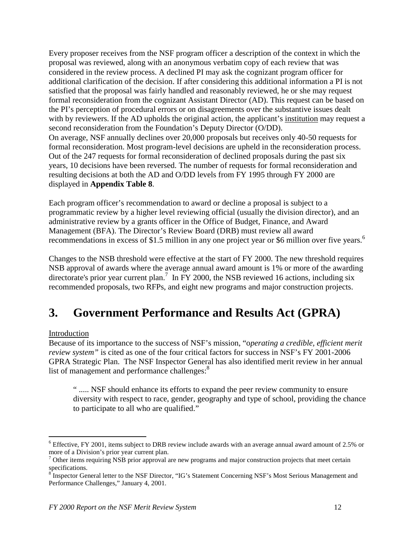Every proposer receives from the NSF program officer a description of the context in which the proposal was reviewed, along with an anonymous verbatim copy of each review that was considered in the review process. A declined PI may ask the cognizant program officer for additional clarification of the decision. If after considering this additional information a PI is not satisfied that the proposal was fairly handled and reasonably reviewed, he or she may request formal reconsideration from the cognizant Assistant Director (AD). This request can be based on the PI's perception of procedural errors or on disagreements over the substantive issues dealt with by reviewers. If the AD upholds the original action, the applicant's institution may request a second reconsideration from the Foundation's Deputy Director (O/DD). On average, NSF annually declines over 20,000 proposals but receives only 40-50 requests for formal reconsideration. Most program-level decisions are upheld in the reconsideration process. Out of the 247 requests for formal reconsideration of declined proposals during the past six years, 10 decisions have been reversed. The number of requests for formal reconsideration and resulting decisions at both the AD and O/DD levels from FY 1995 through FY 2000 are displayed in **Appendix Table 8**.

Each program officer's recommendation to award or decline a proposal is subject to a programmatic review by a higher level reviewing official (usually the division director), and an administrative review by a grants officer in the Office of Budget, Finance, and Award Management (BFA). The Director's Review Board (DRB) must review all award recommendations in excess of \$1.5 million in any one project year or \$6 million over five years.<sup>6</sup>

Changes to the NSB threshold were effective at the start of FY 2000. The new threshold requires NSB approval of awards where the average annual award amount is 1% or more of the awarding directorate's prior year current plan.<sup>7</sup> In FY 2000, the NSB reviewed 16 actions, including six recommended proposals, two RFPs, and eight new programs and major construction projects.

## **3. Government Performance and Results Act (GPRA)**

#### Introduction

 $\overline{a}$ 

Because of its importance to the success of NSF's mission, "o*perating a credible, efficient merit review system"* is cited as one of the four critical factors for success in NSF's FY 2001-2006 GPRA Strategic Plan. The NSF Inspector General has also identified merit review in her annual list of management and performance challenges:<sup>8</sup>

" ..... NSF should enhance its efforts to expand the peer review community to ensure diversity with respect to race, gender, geography and type of school, providing the chance to participate to all who are qualified."

 $6$  Effective, FY 2001, items subject to DRB review include awards with an average annual award amount of 2.5% or more of a Division's prior year current plan.

<sup>&</sup>lt;sup>7</sup> Other items requiring NSB prior approval are new programs and major construction projects that meet certain specifications.<br><sup>8</sup> Inspector General letter to the NSF Director, "IG's Statement Concerning NSF's Most Serious Management and

Performance Challenges," January 4, 2001.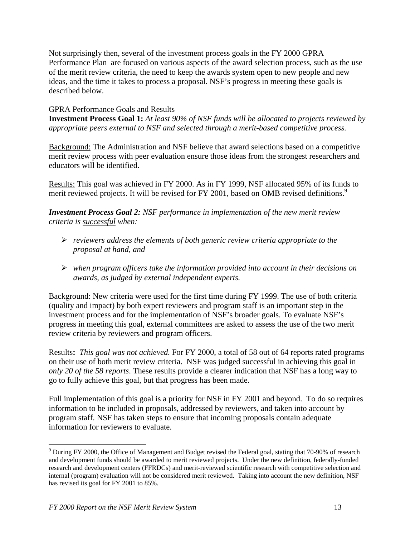Not surprisingly then, several of the investment process goals in the FY 2000 GPRA Performance Plan are focused on various aspects of the award selection process, such as the use of the merit review criteria, the need to keep the awards system open to new people and new ideas, and the time it takes to process a proposal. NSF's progress in meeting these goals is described below.

#### GPRA Performance Goals and Results

**Investment Process Goal 1:** *At least 90% of NSF funds will be allocated to projects reviewed by appropriate peers external to NSF and selected through a merit-based competitive process.*

Background: The Administration and NSF believe that award selections based on a competitive merit review process with peer evaluation ensure those ideas from the strongest researchers and educators will be identified.

Results: This goal was achieved in FY 2000. As in FY 1999, NSF allocated 95% of its funds to merit reviewed projects. It will be revised for FY 2001, based on OMB revised definitions.<sup>9</sup>

*Investment Process Goal 2: NSF performance in implementation of the new merit review criteria is successful when:*

- ! *reviewers address the elements of both generic review criteria appropriate to the proposal at hand, and*
- ! *when program officers take the information provided into account in their decisions on awards, as judged by external independent experts.*

Background: New criteria were used for the first time during FY 1999. The use of both criteria (quality and impact) by both expert reviewers and program staff is an important step in the investment process and for the implementation of NSF's broader goals. To evaluate NSF's progress in meeting this goal, external committees are asked to assess the use of the two merit review criteria by reviewers and program officers.

Results**:** *This goal was not achieved.* For FY 2000, a total of 58 out of 64 reports rated programs on their use of both merit review criteria. NSF was judged successful in achieving this goal in *only 20 of the 58 reports*. These results provide a clearer indication that NSF has a long way to go to fully achieve this goal, but that progress has been made.

Full implementation of this goal is a priority for NSF in FY 2001 and beyond. To do so requires information to be included in proposals, addressed by reviewers, and taken into account by program staff. NSF has taken steps to ensure that incoming proposals contain adequate information for reviewers to evaluate.

 $\overline{a}$ 

 $9$  During FY 2000, the Office of Management and Budget revised the Federal goal, stating that 70-90% of research and development funds should be awarded to merit reviewed projects. Under the new definition, federally-funded research and development centers (FFRDCs) and merit-reviewed scientific research with competitive selection and internal (program) evaluation will not be considered merit reviewed. Taking into account the new definition, NSF has revised its goal for FY 2001 to 85%.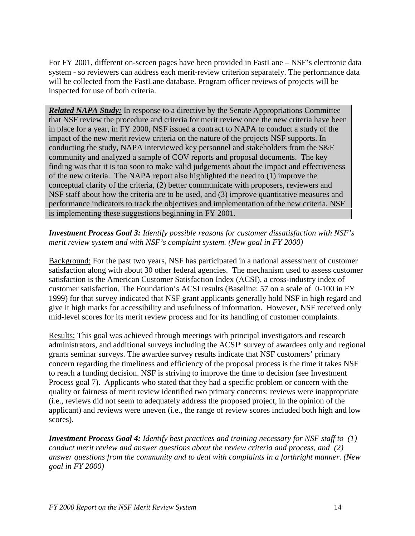For FY 2001, different on-screen pages have been provided in FastLane – NSF's electronic data system - so reviewers can address each merit-review criterion separately. The performance data will be collected from the FastLane database. Program officer reviews of projects will be inspected for use of both criteria.

*Related NAPA Study:* In response to a directive by the Senate Appropriations Committee that NSF review the procedure and criteria for merit review once the new criteria have been in place for a year, in FY 2000, NSF issued a contract to NAPA to conduct a study of the impact of the new merit review criteria on the nature of the projects NSF supports. In conducting the study, NAPA interviewed key personnel and stakeholders from the S&E community and analyzed a sample of COV reports and proposal documents. The key finding was that it is too soon to make valid judgements about the impact and effectiveness of the new criteria. The NAPA report also highlighted the need to (1) improve the conceptual clarity of the criteria, (2) better communicate with proposers, reviewers and NSF staff about how the criteria are to be used, and (3) improve quantitative measures and performance indicators to track the objectives and implementation of the new criteria. NSF is implementing these suggestions beginning in FY 2001.

#### *Investment Process Goal 3: Identify possible reasons for customer dissatisfaction with NSF's merit review system and with NSF's complaint system. (New goal in FY 2000)*

Background: For the past two years, NSF has participated in a national assessment of customer satisfaction along with about 30 other federal agencies. The mechanism used to assess customer satisfaction is the American Customer Satisfaction Index (ACSI), a cross-industry index of customer satisfaction. The Foundation's ACSI results (Baseline: 57 on a scale of 0-100 in FY 1999) for that survey indicated that NSF grant applicants generally hold NSF in high regard and give it high marks for accessibility and usefulness of information. However, NSF received only mid-level scores for its merit review process and for its handling of customer complaints.

Results: This goal was achieved through meetings with principal investigators and research administrators, and additional surveys including the ACSI\* survey of awardees only and regional grants seminar surveys. The awardee survey results indicate that NSF customers' primary concern regarding the timeliness and efficiency of the proposal process is the time it takes NSF to reach a funding decision. NSF is striving to improve the time to decision (see Investment Process goal 7). Applicants who stated that they had a specific problem or concern with the quality or fairness of merit review identified two primary concerns: reviews were inappropriate (i.e., reviews did not seem to adequately address the proposed project, in the opinion of the applicant) and reviews were uneven (i.e., the range of review scores included both high and low scores).

*Investment Process Goal 4: Identify best practices and training necessary for NSF staff to (1) conduct merit review and answer questions about the review criteria and process, and (2) answer questions from the community and to deal with complaints in a forthright manner. (New goal in FY 2000)*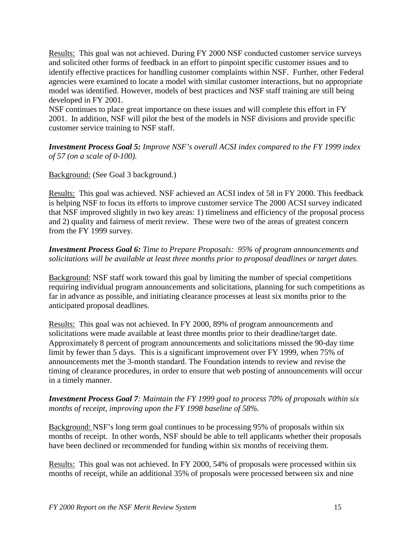Results: This goal was not achieved. During FY 2000 NSF conducted customer service surveys and solicited other forms of feedback in an effort to pinpoint specific customer issues and to identify effective practices for handling customer complaints within NSF. Further, other Federal agencies were examined to locate a model with similar customer interactions, but no appropriate model was identified. However, models of best practices and NSF staff training are still being developed in FY 2001.

NSF continues to place great importance on these issues and will complete this effort in FY 2001. In addition, NSF will pilot the best of the models in NSF divisions and provide specific customer service training to NSF staff.

*Investment Process Goal 5: Improve NSF's overall ACSI index compared to the FY 1999 index of 57 (on a scale of 0-100).*

#### Background: (See Goal 3 background.)

Results: This goal was achieved. NSF achieved an ACSI index of 58 in FY 2000. This feedback is helping NSF to focus its efforts to improve customer service The 2000 ACSI survey indicated that NSF improved slightly in two key areas: 1) timeliness and efficiency of the proposal process and 2) quality and fairness of merit review. These were two of the areas of greatest concern from the FY 1999 survey.

#### *Investment Process Goal 6: Time to Prepare Proposals: 95% of program announcements and solicitations will be available at least three months prior to proposal deadlines or target dates.*

Background: NSF staff work toward this goal by limiting the number of special competitions requiring individual program announcements and solicitations, planning for such competitions as far in advance as possible, and initiating clearance processes at least six months prior to the anticipated proposal deadlines.

Results: This goal was not achieved. In FY 2000, 89% of program announcements and solicitations were made available at least three months prior to their deadline/target date. Approximately 8 percent of program announcements and solicitations missed the 90-day time limit by fewer than 5 days. This is a significant improvement over FY 1999, when 75% of announcements met the 3-month standard. The Foundation intends to review and revise the timing of clearance procedures, in order to ensure that web posting of announcements will occur in a timely manner.

#### *Investment Process Goal 7: Maintain the FY 1999 goal to process 70% of proposals within six months of receipt, improving upon the FY 1998 baseline of 58%.*

Background: NSF's long term goal continues to be processing 95% of proposals within six months of receipt. In other words, NSF should be able to tell applicants whether their proposals have been declined or recommended for funding within six months of receiving them.

Results: This goal was not achieved. In FY 2000, 54% of proposals were processed within six months of receipt, while an additional 35% of proposals were processed between six and nine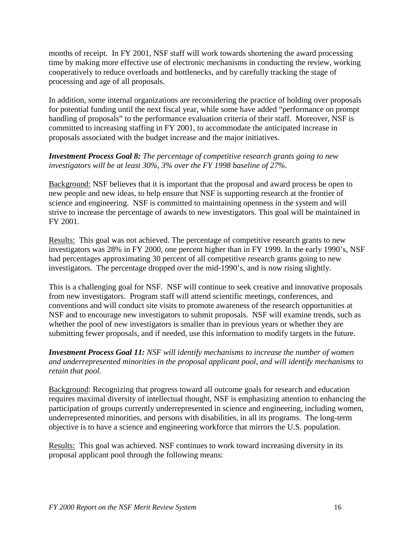months of receipt. In FY 2001, NSF staff will work towards shortening the award processing time by making more effective use of electronic mechanisms in conducting the review, working cooperatively to reduce overloads and bottlenecks, and by carefully tracking the stage of processing and age of all proposals.

In addition, some internal organizations are reconsidering the practice of holding over proposals for potential funding until the next fiscal year, while some have added "performance on prompt handling of proposals" to the performance evaluation criteria of their staff. Moreover, NSF is committed to increasing staffing in FY 2001, to accommodate the anticipated increase in proposals associated with the budget increase and the major initiatives.

#### *Investment Process Goal 8: The percentage of competitive research grants going to new investigators will be at least 30%, 3% over the FY 1998 baseline of 27%.*

Background: NSF believes that it is important that the proposal and award process be open to new people and new ideas, to help ensure that NSF is supporting research at the frontier of science and engineering. NSF is committed to maintaining openness in the system and will strive to increase the percentage of awards to new investigators. This goal will be maintained in FY 2001.

Results: This goal was not achieved. The percentage of competitive research grants to new investigators was 28% in FY 2000, one percent higher than in FY 1999. In the early 1990's, NSF had percentages approximating 30 percent of all competitive research grants going to new investigators. The percentage dropped over the mid-1990's, and is now rising slightly.

This is a challenging goal for NSF. NSF will continue to seek creative and innovative proposals from new investigators. Program staff will attend scientific meetings, conferences, and conventions and will conduct site visits to promote awareness of the research opportunities at NSF and to encourage new investigators to submit proposals. NSF will examine trends, such as whether the pool of new investigators is smaller than in previous years or whether they are submitting fewer proposals, and if needed, use this information to modify targets in the future.

*Investment Process Goal 11: NSF will identify mechanisms to increase the number of women and underrepresented minorities in the proposal applicant pool, and will identify mechanisms to retain that pool.*

Background: Recognizing that progress toward all outcome goals for research and education requires maximal diversity of intellectual thought, NSF is emphasizing attention to enhancing the participation of groups currently underrepresented in science and engineering, including women, underrepresented minorities, and persons with disabilities, in all its programs. The long-term objective is to have a science and engineering workforce that mirrors the U.S. population.

Results: This goal was achieved. NSF continues to work toward increasing diversity in its proposal applicant pool through the following means: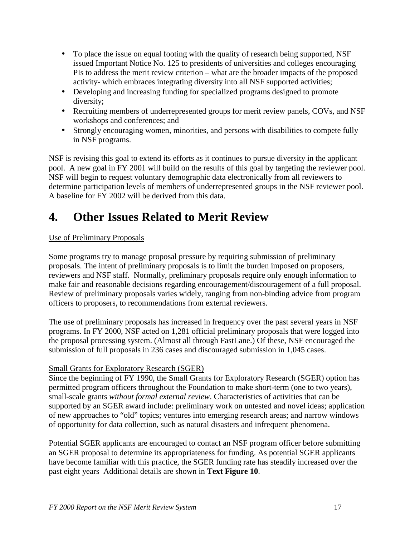- To place the issue on equal footing with the quality of research being supported, NSF issued Important Notice No. 125 to presidents of universities and colleges encouraging PIs to address the merit review criterion – what are the broader impacts of the proposed activity- which embraces integrating diversity into all NSF supported activities;
- Developing and increasing funding for specialized programs designed to promote diversity;
- Recruiting members of underrepresented groups for merit review panels, COVs, and NSF workshops and conferences; and
- Strongly encouraging women, minorities, and persons with disabilities to compete fully in NSF programs.

NSF is revising this goal to extend its efforts as it continues to pursue diversity in the applicant pool. A new goal in FY 2001 will build on the results of this goal by targeting the reviewer pool. NSF will begin to request voluntary demographic data electronically from all reviewers to determine participation levels of members of underrepresented groups in the NSF reviewer pool. A baseline for FY 2002 will be derived from this data.

## **4. Other Issues Related to Merit Review**

#### Use of Preliminary Proposals

Some programs try to manage proposal pressure by requiring submission of preliminary proposals. The intent of preliminary proposals is to limit the burden imposed on proposers, reviewers and NSF staff. Normally, preliminary proposals require only enough information to make fair and reasonable decisions regarding encouragement/discouragement of a full proposal. Review of preliminary proposals varies widely, ranging from non-binding advice from program officers to proposers, to recommendations from external reviewers.

The use of preliminary proposals has increased in frequency over the past several years in NSF programs. In FY 2000, NSF acted on 1,281 official preliminary proposals that were logged into the proposal processing system. (Almost all through FastLane.) Of these, NSF encouraged the submission of full proposals in 236 cases and discouraged submission in 1,045 cases.

#### Small Grants for Exploratory Research (SGER)

Since the beginning of FY 1990, the Small Grants for Exploratory Research (SGER) option has permitted program officers throughout the Foundation to make short-term (one to two years), small-scale grants *without formal external review*. Characteristics of activities that can be supported by an SGER award include: preliminary work on untested and novel ideas; application of new approaches to "old" topics; ventures into emerging research areas; and narrow windows of opportunity for data collection, such as natural disasters and infrequent phenomena.

Potential SGER applicants are encouraged to contact an NSF program officer before submitting an SGER proposal to determine its appropriateness for funding. As potential SGER applicants have become familiar with this practice, the SGER funding rate has steadily increased over the past eight years Additional details are shown in **Text Figure 10**.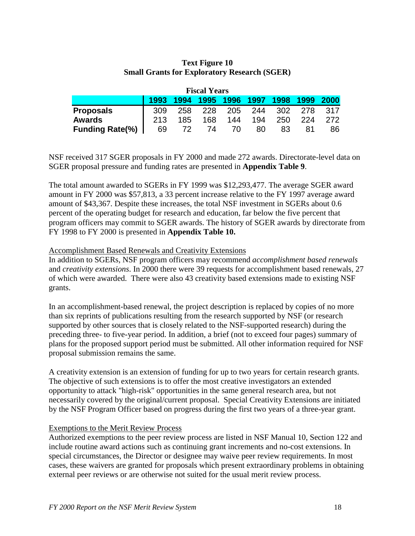| <b>Small Grants for Exploratory Research (SGER)</b> |                     |  |  |  |
|-----------------------------------------------------|---------------------|--|--|--|
|                                                     | <b>Fiscal Years</b> |  |  |  |
| 1993 1994 1995 1996 1997 1998 1999 2000             |                     |  |  |  |

**Proposals** 309 258 228 205 244 302 278 317 **Awards** 213 185 168 144 194 250 224 272 **Funding Rate(%)** | 69 72 74 70 80 83 81 86

#### **Text Figure 10 Small Grants for Exploratory Research (SGER)**

NSF received 317 SGER proposals in FY 2000 and made 272 awards. Directorate-level data on SGER proposal pressure and funding rates are presented in **Appendix Table 9**.

The total amount awarded to SGERs in FY 1999 was \$12,293,477. The average SGER award amount in FY 2000 was \$57,813, a 33 percent increase relative to the FY 1997 average award amount of \$43,367. Despite these increases, the total NSF investment in SGERs about 0.6 percent of the operating budget for research and education, far below the five percent that program officers may commit to SGER awards. The history of SGER awards by directorate from FY 1998 to FY 2000 is presented in **Appendix Table 10.**

#### Accomplishment Based Renewals and Creativity Extensions

In addition to SGERs, NSF program officers may recommend *accomplishment based renewals* and *creativity extensions*. In 2000 there were 39 requests for accomplishment based renewals, 27 of which were awarded. There were also 43 creativity based extensions made to existing NSF grants.

In an accomplishment-based renewal, the project description is replaced by copies of no more than six reprints of publications resulting from the research supported by NSF (or research supported by other sources that is closely related to the NSF-supported research) during the preceding three- to five-year period. In addition, a brief (not to exceed four pages) summary of plans for the proposed support period must be submitted. All other information required for NSF proposal submission remains the same.

A creativity extension is an extension of funding for up to two years for certain research grants. The objective of such extensions is to offer the most creative investigators an extended opportunity to attack "high-risk" opportunities in the same general research area, but not necessarily covered by the original/current proposal. Special Creativity Extensions are initiated by the NSF Program Officer based on progress during the first two years of a three-year grant.

#### Exemptions to the Merit Review Process

Authorized exemptions to the peer review process are listed in NSF Manual 10, Section 122 and include routine award actions such as continuing grant increments and no-cost extensions. In special circumstances, the Director or designee may waive peer review requirements. In most cases, these waivers are granted for proposals which present extraordinary problems in obtaining external peer reviews or are otherwise not suited for the usual merit review process.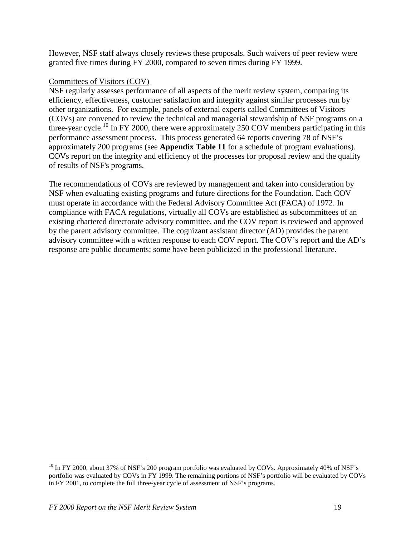However, NSF staff always closely reviews these proposals. Such waivers of peer review were granted five times during FY 2000, compared to seven times during FY 1999.

#### Committees of Visitors (COV)

NSF regularly assesses performance of all aspects of the merit review system, comparing its efficiency, effectiveness, customer satisfaction and integrity against similar processes run by other organizations. For example, panels of external experts called Committees of Visitors (COVs) are convened to review the technical and managerial stewardship of NSF programs on a three-year cycle.<sup>10</sup> In FY 2000, there were approximately 250 COV members participating in this performance assessment process. This process generated 64 reports covering 78 of NSF's approximately 200 programs (see **Appendix Table 11** for a schedule of program evaluations). COVs report on the integrity and efficiency of the processes for proposal review and the quality of results of NSF's programs.

The recommendations of COVs are reviewed by management and taken into consideration by NSF when evaluating existing programs and future directions for the Foundation. Each COV must operate in accordance with the Federal Advisory Committee Act (FACA) of 1972. In compliance with FACA regulations, virtually all COVs are established as subcommittees of an existing chartered directorate advisory committee, and the COV report is reviewed and approved by the parent advisory committee. The cognizant assistant director (AD) provides the parent advisory committee with a written response to each COV report. The COV's report and the AD's response are public documents; some have been publicized in the professional literature.

 $\overline{a}$ 

 $^{10}$  In FY 2000, about 37% of NSF's 200 program portfolio was evaluated by COVs. Approximately 40% of NSF's portfolio was evaluated by COVs in FY 1999. The remaining portions of NSF's portfolio will be evaluated by COVs in FY 2001, to complete the full three-year cycle of assessment of NSF's programs.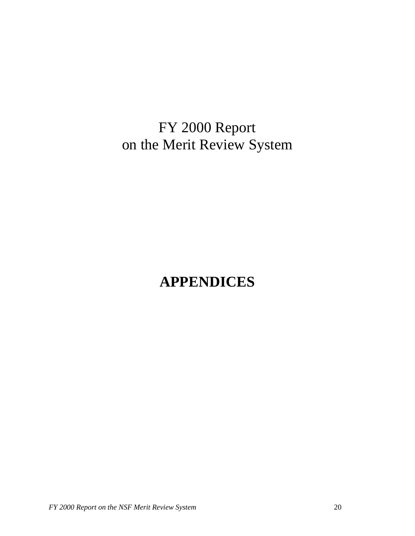FY 2000 Report on the Merit Review System

# **APPENDICES**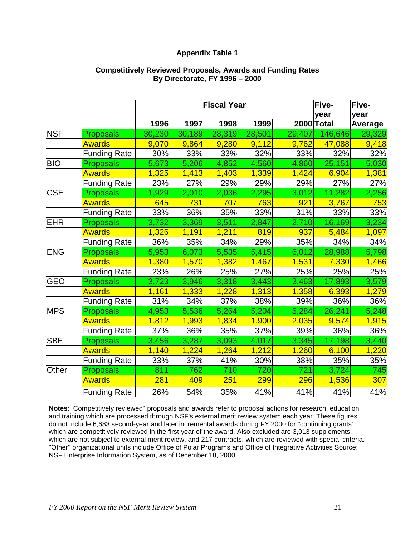#### **Appendix Table 1**

#### **Competitively Reviewed Proposals, Awards and Funding Rates By Directorate, FY 1996 – 2000**

|            |                     |        |        | <b>Fiscal Year</b> |        |        | Five-<br>year | Five-<br>year  |
|------------|---------------------|--------|--------|--------------------|--------|--------|---------------|----------------|
|            |                     | 1996   | 1997   | 1998               | 1999   |        | 2000 Total    | <b>Average</b> |
| <b>NSF</b> | <b>Proposals</b>    | 30,230 | 30,189 | 28,319             | 28,501 | 29,407 | 146,646       | 29,329         |
|            | <b>Awards</b>       | 9,070  | 9,864  | 9,280              | 9,112  | 9,762  | 47,088        | 9,418          |
|            | <b>Funding Rate</b> | 30%    | 33%    | 33%                | 32%    | 33%    | 32%           | 32%            |
| <b>BIO</b> | <b>Proposals</b>    | 5,673  | 5,206  | 4,852              | 4,560  | 4,860  | 25,151        | 5,030          |
|            | <b>Awards</b>       | 1,325  | 1,413  | 1,403              | 1,339  | 1,424  | 6,904         | 1,381          |
|            | <b>Funding Rate</b> | 23%    | 27%    | 29%                | 29%    | 29%    | 27%           | 27%            |
| <b>CSE</b> | <b>Proposals</b>    | 1,929  | 2,010  | 2,036              | 2,295  | 3,012  | 11,282        | 2,256          |
|            | <b>Awards</b>       | 645    | 731    | 707                | 763    | 921    | 3,767         | 753            |
|            | <b>Funding Rate</b> | 33%    | 36%    | 35%                | 33%    | 31%    | 33%           | 33%            |
| <b>EHR</b> | <b>Proposals</b>    | 3,732  | 3,369  | 3,511              | 2,847  | 2,710  | 16,169        | 3,234          |
|            | <b>Awards</b>       | 1,326  | 1,191  | 1,211              | 819    | 937    | 5,484         | 1,097          |
|            | <b>Funding Rate</b> | 36%    | 35%    | 34%                | 29%    | 35%    | 34%           | 34%            |
| <b>ENG</b> | <b>Proposals</b>    | 5,953  | 6,073  | 5,535              | 5,415  | 6,012  | 28,988        | 5,798          |
|            | <b>Awards</b>       | 1,380  | 1,570  | 1,382              | 1,467  | 1,531  | 7,330         | 1,466          |
|            | <b>Funding Rate</b> | 23%    | 26%    | 25%                | 27%    | 25%    | 25%           | 25%            |
| <b>GEO</b> | <b>Proposals</b>    | 3,723  | 3,946  | 3,318              | 3,443  | 3,463  | 17,893        | 3,579          |
|            | <b>Awards</b>       | 1,161  | 1,333  | 1,228              | 1,313  | 1,358  | 6,393         | 1,279          |
|            | <b>Funding Rate</b> | 31%    | 34%    | 37%                | 38%    | 39%    | 36%           | 36%            |
| <b>MPS</b> | <b>Proposals</b>    | 4,953  | 5,536  | 5,264              | 5,204  | 5,284  | 26,241        | 5,248          |
|            | <b>Awards</b>       | 1,812  | 1,993  | 1,834              | 1,900  | 2,035  | 9,574         | 1,915          |
|            | <b>Funding Rate</b> | 37%    | 36%    | 35%                | 37%    | 39%    | 36%           | 36%            |
| <b>SBE</b> | <b>Proposals</b>    | 3,456  | 3,287  | 3,093              | 4,017  | 3,345  | 17,198        | 3,440          |
|            | <b>Awards</b>       | 1,140  | 1,224  | 1,264              | 1,212  | 1,260  | 6,100         | 1,220          |
|            | <b>Funding Rate</b> | 33%    | 37%    | 41%                | 30%    | 38%    | 35%           | 35%            |
| Other      | <b>Proposals</b>    | 811    | 762    | 710                | 720    | 721    | 3,724         | 745            |
|            | <b>Awards</b>       | 281    | 409    | 251                | 299    | 296    | 1,536         | 307            |
|            | <b>Funding Rate</b> | 26%    | 54%    | 35%                | 41%    | 41%    | 41%           | 41%            |

**Notes**: Competitively reviewed" proposals and awards refer to proposal actions for research, education and training which are processed through NSF's external merit review system each year. These figures do not include 6,683 second-year and later incremental awards during FY 2000 for "continuing grants' which are competitively reviewed in the first year of the award. Also excluded are 3,013 supplements, which are not subject to external merit review, and 217 contracts, which are reviewed with special criteria. "Other" organizational units include Office of Polar Programs and Office of Integrative Activities Source: NSF Enterprise Information System, as of December 18, 2000.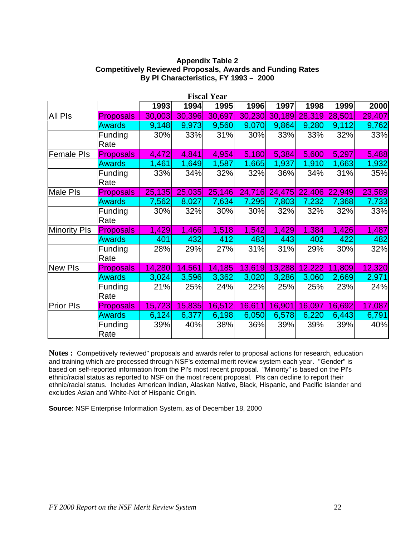#### **Appendix Table 2 Competitively Reviewed Proposals, Awards and Funding Rates By PI Characteristics, FY 1993 – 2000**

|                     |                        |        |        | <b>Fiscal Year</b> |        |        |        |        |        |
|---------------------|------------------------|--------|--------|--------------------|--------|--------|--------|--------|--------|
|                     |                        | 1993   | 1994   | 1995               | 1996   | 1997   | 1998   | 1999   | 2000   |
| All Pls             | <b>Proposals</b>       | 30,003 | 30,396 | 30,697             | 30,230 | 30,189 | 28,319 | 28,501 | 29,407 |
|                     | <b>Awards</b>          | 9,148  | 9,973  | 9,560              | 9,070  | 9,864  | 9,280  | 9,112  | 9,762  |
|                     | Funding<br>Rate        | 30%    | 33%    | 31%                | 30%    | 33%    | 33%    | 32%    | 33%    |
| Female PIs          | <b>Proposals</b>       | 4,472  | 4,841  | 4,954              | 5,180  | 5,384  | 5,600  | 5,297  | 5,488  |
|                     | <b>Awards</b>          | 1,461  | 1,649  | 1,587              | 1,665  | 1,937  | 1,910  | 1,663  | 1,932  |
|                     | <b>Funding</b><br>Rate | 33%    | 34%    | 32%                | 32%    | 36%    | 34%    | 31%    | 35%    |
| Male Pls            | <b>Proposals</b>       | 25,135 | 25,035 | 25,146             | 24,716 | 24,475 | 22,406 | 22,949 | 23,589 |
|                     | <b>Awards</b>          | 7,562  | 8,027  | 7,634              | 7,295  | 7,803  | 7,232  | 7,368  | 7,733  |
|                     | Funding<br>Rate        | 30%    | 32%    | 30%                | 30%    | 32%    | 32%    | 32%    | 33%    |
| <b>Minority PIs</b> | <b>Proposals</b>       | 1,429  | 1,466  | 1,518              | 1,542  | 1,429  | 1,384  | 1,426  | 1,487  |
|                     | <b>Awards</b>          | 401    | 432    | 412                | 483    | 443    | 402    | 422    | 482    |
|                     | Funding<br>Rate        | 28%    | 29%    | 27%                | 31%    | 31%    | 29%    | 30%    | 32%    |
| <b>New PIs</b>      | <b>Proposals</b>       | 14,280 | 14,561 | 14,185             | 13,619 | 13,288 | 12,222 | 11,809 | 12,320 |
|                     | <b>Awards</b>          | 3,024  | 3,596  | 3,362              | 3,020  | 3,286  | 3,060  | 2,669  | 2,971  |
|                     | Funding<br>Rate        | 21%    | 25%    | 24%                | 22%    | 25%    | 25%    | 23%    | 24%    |
| <b>Prior PIs</b>    | <b>Proposals</b>       | 15,723 | 15,835 | 16,512             | 16,611 | 16,901 | 16,097 | 16,692 | 17,087 |
|                     | <b>Awards</b>          | 6,124  | 6,377  | 6,198              | 6,050  | 6,578  | 6,220  | 6,443  | 6,791  |
|                     | Funding<br>Rate        | 39%    | 40%    | 38%                | 36%    | 39%    | 39%    | 39%    | 40%    |

**Notes :** Competitively reviewed" proposals and awards refer to proposal actions for research, education and training which are processed through NSF's external merit review system each year. "Gender" is based on self-reported information from the PI's most recent proposal. "Minority" is based on the PI's ethnic/racial status as reported to NSF on the most recent proposal. PIs can decline to report their ethnic/racial status. Includes American Indian, Alaskan Native, Black, Hispanic, and Pacific Islander and excludes Asian and White-Not of Hispanic Origin.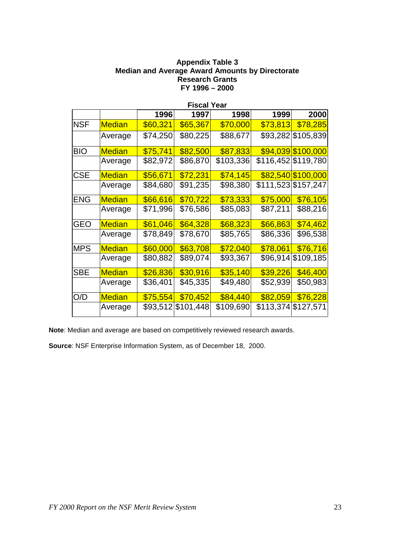#### **Appendix Table 3 Median and Average Award Amounts by Directorate Research Grants FY 1996 – 2000**

|            |               |          | <b>Fiscal Year</b> |           |          |                     |
|------------|---------------|----------|--------------------|-----------|----------|---------------------|
|            |               | 1996     | 1997               | 1998      | 1999     | 2000                |
| <b>NSF</b> | <b>Median</b> | \$60,321 | \$65,367           | \$70,000  | \$73,813 | \$78,285            |
|            | Average       | \$74,250 | \$80,225           | \$88,677  |          | \$93,282 \$105,839  |
| <b>BIO</b> | <b>Median</b> | \$75,741 | \$82,500           | \$87,833  |          | \$94,039 \$100,000  |
|            | Average       | \$82,972 | \$86,870           | \$103,336 |          | \$116,452 \$119,780 |
| <b>CSE</b> | Median        | \$56,671 | \$72,231           | \$74,145  |          | \$82,540 \$100,000  |
|            | Average       | \$84,680 | \$91,235           | \$98,380  |          | \$111,523 \$157,247 |
| <b>ENG</b> | <b>Median</b> | \$66,616 | \$70,722           | \$73,333  | \$75,000 | \$76,105            |
|            | Average       | \$71,996 | \$76,586           | \$85,083  | \$87,211 | \$88,216            |
| <b>GEO</b> | <b>Median</b> | \$61,046 | \$64,328           | \$68,323  | \$66,863 | \$74,462            |
|            | Average       | \$78,849 | \$78,670           | \$85,765  | \$86,336 | \$96,538            |
| <b>MPS</b> | <b>Median</b> | \$60,000 | \$63,708           | \$72,040  | \$78,061 | \$76,716            |
|            | Average       | \$80,882 | \$89,074           | \$93,367  | \$96,914 | \$109,185           |
| <b>SBE</b> | <b>Median</b> | \$26,836 | \$30,916           | \$35,140  | \$39,226 | \$46,400            |
|            | Average       | \$36,401 | \$45,335           | \$49,480  | \$52,939 | \$50,983            |
| O/D        | <b>Median</b> | \$75,554 | \$70,452           | \$84,440  | \$82,059 | \$76,228            |
|            | Average       |          | \$93,512 \$101,448 | \$109,690 |          | \$113,374 \$127,571 |

**Note**: Median and average are based on competitively reviewed research awards.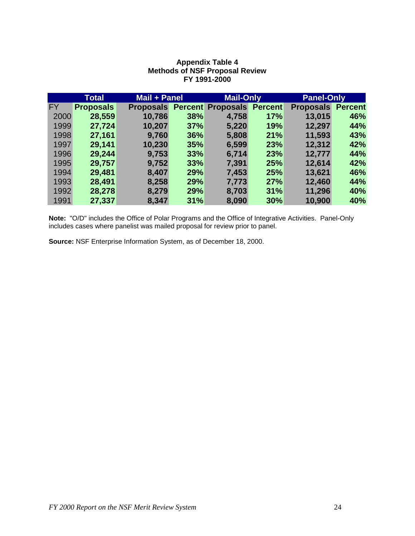|           | Total            | Mail + Panel     |     | <b>Mail-Only</b>         |                | <b>Panel-Only</b>        |     |
|-----------|------------------|------------------|-----|--------------------------|----------------|--------------------------|-----|
| <b>FY</b> | <b>Proposals</b> | <b>Proposals</b> |     | <b>Percent Proposals</b> | <b>Percent</b> | <b>Proposals Percent</b> |     |
| 2000      | 28,559           | 10,786           | 38% | 4,758                    | 17%            | 13,015                   | 46% |
| 1999      | 27,724           | 10,207           | 37% | 5,220                    | <b>19%</b>     | 12,297                   | 44% |
| 1998      | 27,161           | 9,760            | 36% | 5,808                    | 21%            | 11,593                   | 43% |
| 1997      | 29,141           | 10,230           | 35% | 6,599                    | 23%            | 12,312                   | 42% |
| 1996      | 29,244           | 9,753            | 33% | 6,714                    | 23%            | 12,777                   | 44% |
| 1995      | 29,757           | 9,752            | 33% | 7,391                    | 25%            | 12,614                   | 42% |
| 1994      | 29,481           | 8,407            | 29% | 7,453                    | 25%            | 13,621                   | 46% |
| 1993      | 28,491           | 8,258            | 29% | 7,773                    | 27%            | 12,460                   | 44% |
| 1992      | 28,278           | 8,279            | 29% | 8,703                    | 31%            | 11,296                   | 40% |
| 1991      | 27,337           | 8,347            | 31% | 8,090                    | 30%            | 10,900                   | 40% |

#### **Appendix Table 4 Methods of NSF Proposal Review FY 1991-2000**

**Note:** "O/D" includes the Office of Polar Programs and the Office of Integrative Activities. Panel-Only includes cases where panelist was mailed proposal for review prior to panel.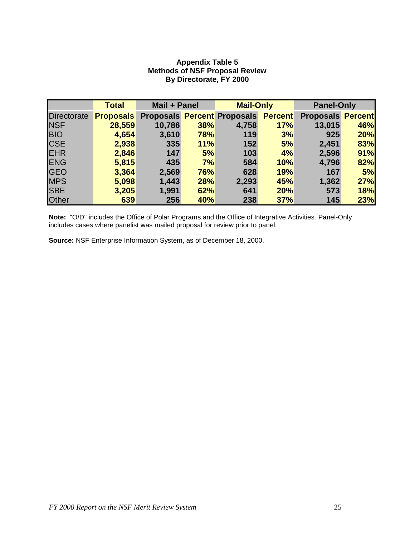#### **Appendix Table 5 Methods of NSF Proposal Review By Directorate, FY 2000**

|                    | <b>Total</b>     | Mail + Panel |     | <b>Mail-Only</b>                   |                | <b>Panel-Only</b>        |     |
|--------------------|------------------|--------------|-----|------------------------------------|----------------|--------------------------|-----|
| <b>Directorate</b> | <b>Proposals</b> |              |     | <b>Proposals Percent Proposals</b> | <b>Percent</b> | <b>Proposals Percent</b> |     |
| <b>NSF</b>         | 28,559           | 10,786       | 38% | 4,758                              | 17%            | 13,015                   | 46% |
| <b>BIO</b>         | 4,654            | 3,610        | 78% | 119                                | 3%             | 925                      | 20% |
| <b>CSE</b>         | 2,938            | 335          | 11% | 152                                | 5%             | 2,451                    | 83% |
| <b>EHR</b>         | 2,846            | 147          | 5%  | 103                                | 4%             | 2,596                    | 91% |
| <b>ENG</b>         | 5,815            | 435          | 7%  | 584                                | 10%            | 4,796                    | 82% |
| <b>IGEO</b>        | 3,364            | 2,569        | 76% | 628                                | 19%            | 167                      | 5%  |
| <b>MPS</b>         | 5,098            | 1,443        | 28% | 2,293                              | 45%            | 1,362                    | 27% |
| <b>SBE</b>         | 3,205            | 1,991        | 62% | 641                                | 20%            | 573                      | 18% |
| <b>Other</b>       | 639              | 256          | 40% | 238                                | 37%            | 145                      | 23% |

**Note:** "O/D" includes the Office of Polar Programs and the Office of Integrative Activities. Panel-Only includes cases where panelist was mailed proposal for review prior to panel.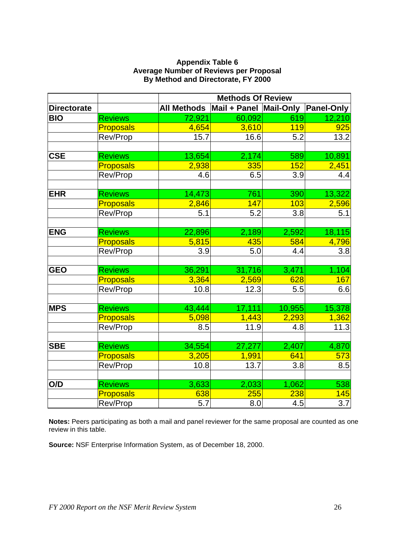| <b>Appendix Table 6</b>                       |
|-----------------------------------------------|
| <b>Average Number of Reviews per Proposal</b> |
| By Method and Directorate, FY 2000            |

|                    |                  | <b>Methods Of Review</b> |        |                  |                   |  |  |
|--------------------|------------------|--------------------------|--------|------------------|-------------------|--|--|
| <b>Directorate</b> |                  | All Methods Mail + Panel |        | <b>Mail-Only</b> | <b>Panel-Only</b> |  |  |
| <b>BIO</b>         | <b>Reviews</b>   | 72,921                   | 60,092 | 619              | 12,210            |  |  |
|                    | <b>Proposals</b> | 4,654                    | 3,610  | <b>119</b>       | 925               |  |  |
|                    | Rev/Prop         | 15.7                     | 16.6   | 5.2              | 13.2              |  |  |
|                    |                  |                          |        |                  |                   |  |  |
| <b>CSE</b>         | <b>Reviews</b>   | 13,654                   | 2,174  | 589              | 10,891            |  |  |
|                    | <b>Proposals</b> | 2,938                    | 335    | 152              | 2,451             |  |  |
|                    | Rev/Prop         | 4.6                      | 6.5    | 3.9              | 4.4               |  |  |
|                    |                  |                          |        |                  |                   |  |  |
| <b>EHR</b>         | <b>Reviews</b>   | 14,473                   | 761    | 390              | 13,322            |  |  |
|                    | <b>Proposals</b> | 2,846                    | 147    | 103              | 2,596             |  |  |
|                    | Rev/Prop         | 5.1                      | 5.2    | 3.8              | 5.1               |  |  |
|                    |                  |                          |        |                  |                   |  |  |
| <b>ENG</b>         | <b>Reviews</b>   | 22,896                   | 2,189  | 2,592            | 18,115            |  |  |
|                    | <b>Proposals</b> | 5,815                    | 435    | 584              | 4,796             |  |  |
|                    | Rev/Prop         | 3.9                      | 5.0    | 4.4              | 3.8               |  |  |
|                    |                  |                          |        |                  |                   |  |  |
| <b>GEO</b>         | <b>Reviews</b>   | 36,291                   | 31,716 | 3,471            | 1,104             |  |  |
|                    | <b>Proposals</b> | 3,364                    | 2,569  | 628              | 167               |  |  |
|                    | Rev/Prop         | 10.8                     | 12.3   | 5.5              | 6.6               |  |  |
|                    |                  |                          |        |                  |                   |  |  |
| <b>MPS</b>         | <b>Reviews</b>   | 43,444                   | 17,111 | 10,955           | 15,378            |  |  |
|                    | <b>Proposals</b> | 5,098                    | 1,443  | 2,293            | 1,362             |  |  |
|                    | Rev/Prop         | 8.5                      | 11.9   | 4.8              | 11.3              |  |  |
|                    |                  |                          |        |                  |                   |  |  |
| <b>SBE</b>         | <b>Reviews</b>   | 34,554                   | 27,277 | 2,407            | 4,870             |  |  |
|                    | <b>Proposals</b> | 3,205                    | 1,991  | 641              | 573               |  |  |
|                    | Rev/Prop         | 10.8                     | 13.7   | 3.8              | 8.5               |  |  |
|                    |                  |                          |        |                  |                   |  |  |
| O/D                | <b>Reviews</b>   | 3,633                    | 2,033  | 1,062            | 538               |  |  |
|                    | <b>Proposals</b> | 638                      | 255    | 238              | 145               |  |  |
|                    | Rev/Prop         | 5.7                      | 8.0    | 4.5              | 3.7               |  |  |

**Notes:** Peers participating as both a mail and panel reviewer for the same proposal are counted as one review in this table.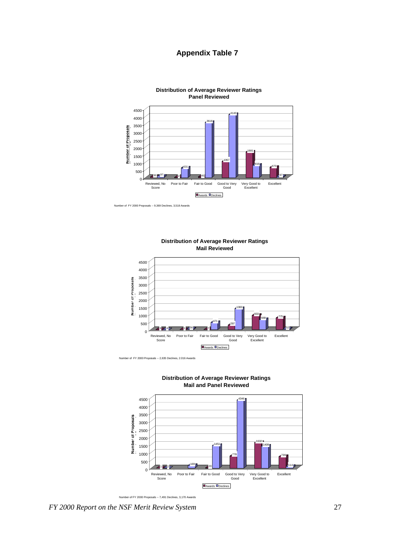#### **Appendix Table 7**



Number of FY 2000 Proposals -- 9,369 Declines, 3,518 Awards





Number of FY 2000 Proposals -- 2,635 Declines, 2.016 Awards



**Distribution of Average Reviewer Ratings Mail and Panel Reviewed**

Number of FY 2000 Proposals -- 7,491 Declines, 3,170 Awards

*FY 2000 Report on the NSF Merit Review System* 27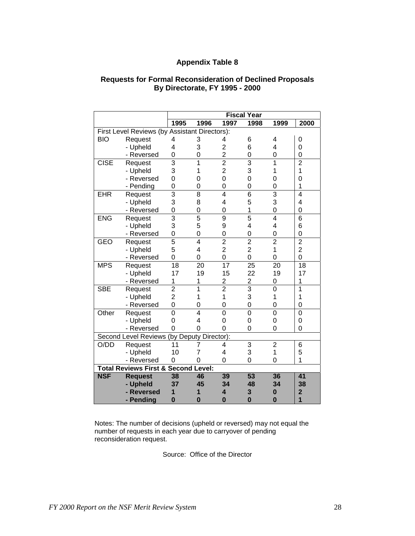#### **Appendix Table 8**

|                                               |                                                | <b>Fiscal Year</b> |                |                |                 |                |                |
|-----------------------------------------------|------------------------------------------------|--------------------|----------------|----------------|-----------------|----------------|----------------|
|                                               |                                                | 1995               | 1996           | 1997           | 1998            | 1999           | 2000           |
| First Level Reviews (by Assistant Directors): |                                                |                    |                |                |                 |                |                |
| <b>BIO</b>                                    | Request                                        | 4                  | 3              | 4              | 6               | 4              | 0              |
|                                               | - Upheld                                       | 4                  | 3              | $\overline{2}$ | 6               | 4              | $\overline{0}$ |
|                                               | - Reversed                                     | 0                  | 0              | $\overline{2}$ | 0               | 0              | 0              |
| <b>CISE</b>                                   | Request                                        | 3                  | 1              | $\overline{2}$ | 3               | 1              | $\overline{2}$ |
|                                               | - Upheld                                       | 3                  | 1              | $\overline{2}$ | 3               | 1              | 1              |
|                                               | - Reversed                                     | 0                  | 0              | 0              | $\overline{0}$  | 0              | 0              |
|                                               | - Pending                                      | 0                  | 0              | 0              | 0               | 0              | 1              |
| <b>EHR</b>                                    | Request                                        | $\overline{3}$     | 8              | 4              | 6               | 3              | $\overline{4}$ |
|                                               | - Upheld                                       | 3                  | 8              | 4              | 5               | 3              | 4              |
|                                               | - Reversed                                     | 0                  | 0              | 0              | 1               | 0              | 0              |
| <b>ENG</b>                                    | Request                                        | $\overline{3}$     | 5              | 9              | 5               | 4              | 6              |
|                                               | - Upheld                                       | 3                  | 5              | 9              | 4               | 4              | 6              |
|                                               | - Reversed                                     | 0                  | 0              | 0              | 0               | 0              | 0              |
| <b>GEO</b>                                    | Request                                        | $\overline{5}$     | $\overline{4}$ | $\overline{2}$ | $\overline{2}$  | $\overline{2}$ | $\overline{2}$ |
|                                               | - Upheld                                       | 5                  | 4              | $\overline{2}$ | $\overline{2}$  | 1              | $\overline{2}$ |
|                                               | - Reversed                                     | 0                  | 0              | 0              | $\overline{0}$  | 0              | $\overline{0}$ |
| <b>MPS</b>                                    | Request                                        | 18                 | 20             | 17             | $\overline{25}$ | 20             | 18             |
|                                               | - Upheld                                       | 17                 | 19             | 15             | 22              | 19             | 17             |
|                                               | - Reversed                                     | 1                  | 1              | 2              | $\overline{c}$  | 0              | 1              |
| <b>SBE</b>                                    | Request                                        | $\overline{2}$     | 1              | $\overline{2}$ | $\overline{3}$  | $\overline{0}$ | 1              |
|                                               | - Upheld                                       | $\overline{2}$     | 1              | 1              | 3               | 1              | 1              |
|                                               | - Reversed                                     | 0                  | 0              | 0              | 0               | 0              | 0              |
| Other                                         | Request                                        | $\overline{0}$     | 4              | 0              | $\overline{0}$  | 0              | $\overline{0}$ |
|                                               | - Upheld                                       | 0                  | 4              | 0              | $\Omega$        | 0              | 0              |
|                                               | - Reversed                                     | 0                  | 0              | $\Omega$       | $\overline{0}$  | $\mathbf 0$    | $\overline{0}$ |
|                                               | Second Level Reviews (by Deputy Director):     |                    |                |                |                 |                |                |
| O/DD                                          | Request                                        | 11                 | 7              | 4              | 3               | $\overline{2}$ | 6              |
|                                               | - Upheld                                       | 10                 | 7              | 4              | 3               | 1              | 5              |
|                                               | - Reversed                                     | 0                  | 0              | 0              | 0               | 0              | 1              |
|                                               | <b>Total Reviews First &amp; Second Level:</b> |                    |                |                |                 |                |                |
| <b>NSF</b>                                    | <b>Request</b>                                 | 38                 | 46             | 39             | 53              | 36             | 41             |
|                                               | - Upheld                                       | 37                 | 45             | 34             | 48              | 34             | 38             |
|                                               | - Reversed                                     | 1                  | 1              | 4              | 3               | $\bf{0}$       | $\overline{2}$ |
|                                               | - Pending                                      | $\bf{0}$           | $\bf{0}$       | $\mathbf 0$    | $\mathbf 0$     | $\bf{0}$       | $\overline{1}$ |

#### **Requests for Formal Reconsideration of Declined Proposals By Directorate, FY 1995 - 2000**

Notes: The number of decisions (upheld or reversed) may not equal the number of requests in each year due to carryover of pending reconsideration request.

Source: Office of the Director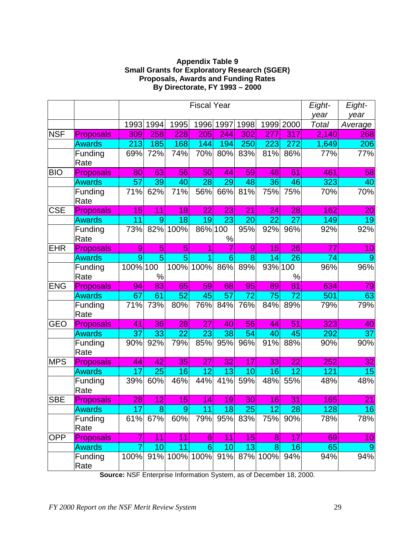#### **Appendix Table 9 Small Grants for Exploratory Research (SGER) Proposals, Awards and Funding Rates By Directorate, FY 1993 – 2000**

|            |                  | <b>Fiscal Year</b> |      |      |                 | Eight-<br>year | Eight-<br>year  |                |      |        |                |
|------------|------------------|--------------------|------|------|-----------------|----------------|-----------------|----------------|------|--------|----------------|
|            |                  | 1993               | 1994 | 1995 | 1996            | 1997           | 1998            | 1999           | 2000 | Total  | Average        |
| <b>NSF</b> | <b>Proposals</b> | 309                | 258  | 228  | 205             | 244            | 302             | 277            | 317  | 2,140  | 268            |
|            | <b>Awards</b>    | 213                | 185  | 168  | 144             | 194            | 250             | 223            | 272  | 1,649  | 206            |
|            | Funding<br>Rate  | 69%                | 72%  | 74%  | 70%             | 80%            | 83%             | 81%            | 86%  | 77%    | 77%            |
| <b>BIO</b> | <b>Proposals</b> | 80                 | 63   | 56   | 50 <sub>l</sub> | 44             | 59              | 48             | 61   | 461    | 58             |
|            | <b>Awards</b>    | 57                 | 39   | 40   | 28              | 29             | 48              | 36             | 46   | 323    | 40             |
|            | Funding<br>Rate  | 71%                | 62%  | 71%  | 56%             | 66%            | 81%             | 75%            | 75%  | 70%    | 70%            |
| <b>CSE</b> | <b>Proposals</b> | 15                 | 11   | 18   | 22              | 23             | 21              | 24             | 28   | 162    | 20             |
|            | <b>Awards</b>    | 11                 | 9    | 18   | 19              | 23             | 20              | 22             | 27   | 149    | 19             |
|            | Funding<br>Rate  | 73%                | 82%  | 100% | 86%             | 100<br>$\%$    | 95%             | 92%            | 96%  | 92%    | 92%            |
| <b>EHR</b> | <b>Proposals</b> | 9                  | 5    | 5    |                 |                | 9               | 15             | 26   | 77     | 10             |
|            | <b>Awards</b>    | $\overline{9}$     | 5    | 5    |                 | 6              | 8               | 14             | 26   | 74     | $\overline{9}$ |
|            | Funding<br>Rate  | 100% 100           | $\%$ | 100% | 100%            | 86%            | 89%             | 93% 100        | $\%$ | $96\%$ | 96%            |
| <b>ENG</b> | <b>Proposals</b> | 94                 | 83   | 65   | 59              | 68             | 95              | 89             | 81   | 634    | 79             |
|            | <b>Awards</b>    | 67                 | 61   | 52   | 45              | 57             | 72              | 75             | 72   | 501    | 63             |
|            | Funding<br>Rate  | 71%                | 73%  | 80%  | 76%             | 84%            | 76%             | 84%            | 89%  | 79%    | $79\sqrt{ }$   |
| <b>GEO</b> | <b>Proposals</b> | 41                 | 36   | 28   | 27              | 40             | 56              | 44             | 51   | 323    | 40             |
|            | <b>Awards</b>    | 37                 | 33   | 22   | 23              | 38             | 54              | 40             | 45   | 292    | 37             |
|            | Funding<br>Rate  | 90%                | 92%  | 79%  | 85%             | 95%            | 96%             | 91%            | 88%  | 90%    | 90%            |
| <b>MPS</b> | <b>Proposals</b> | 44                 | 42   | 35   | 27              | 32             | 17              | 33             | 22   | 252    | 32             |
|            | <b>Awards</b>    | 17                 | 25   | 16   | 12              | 13             | 10              | 16             | 12   | 121    | 15             |
|            | Funding<br>Rate  | 39%                | 60%  | 46%  | 44%             | 41%            | 59%             | 48%            | 55%  | 48%    | 48%            |
| <b>SBE</b> | <b>Proposals</b> | $28\vert$          | 12   | 15   | 14              | 19             | 30 <sup>2</sup> | 16             | 31   | 165    | 21             |
|            | <b>Awards</b>    | 17                 | 8    | 9    | 11              | 18             | 25              | 12             | 28   | 128    | 16             |
|            | Funding<br>Rate  | 61%                | 67%  | 60%  | 79%             |                | 95% 83%         | 75%            | 90%  | 78%    | 78%            |
| <b>OPP</b> | <b>Proposals</b> |                    | 11   | 11   | 6               | 11             | 15              | 8 <sup>1</sup> | 17   | 69     | 10             |
|            | <b>Awards</b>    | 7                  | 10   | 11   | 6 <sup>1</sup>  | 10             | 13              | 8              | 16   | 65     | $\overline{9}$ |
|            | Funding<br>Rate  | 100%               |      |      | 91% 100% 100%   | 91%            | 87%             | 100%           | 94%  | 94%    | 94%            |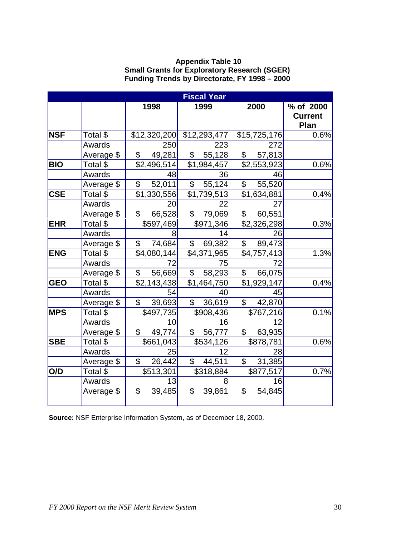#### **Appendix Table 10 Small Grants for Exploratory Research (SGER) Funding Trends by Directorate, FY 1998 – 2000**

|            |            |                           | <b>Fiscal Year</b>          |                           |                                     |  |  |  |  |
|------------|------------|---------------------------|-----------------------------|---------------------------|-------------------------------------|--|--|--|--|
|            |            | 1998                      | 1999                        | 2000                      | % of 2000<br><b>Current</b><br>Plan |  |  |  |  |
| <b>NSF</b> | Total \$   |                           | $$12,320,200$ $$12,293,477$ | \$15,725,176              | 0.6%                                |  |  |  |  |
|            | Awards     | 250                       | 223                         | 272                       |                                     |  |  |  |  |
|            | Average \$ | 49,281<br>$\mathsf{\$}$   | $\overline{\$}$<br>55,128   | $\overline{\$}$<br>57,813 |                                     |  |  |  |  |
| <b>BIO</b> | Total \$   | \$2,496,514               | \$1,984,457                 | \$2,553,923               | 0.6%                                |  |  |  |  |
|            | Awards     | 48                        | 36                          | 46                        |                                     |  |  |  |  |
|            | Average \$ | \$52,011                  | $\overline{\$}$ 55,124      | $\frac{1}{2}$ 55,520      |                                     |  |  |  |  |
| <b>CSE</b> | Total \$   | \$1,330,556               | $\overline{$1,739,513}$     | \$1,634,881               | 0.4%                                |  |  |  |  |
|            | Awards     | 20                        | 22                          | 27                        |                                     |  |  |  |  |
|            | Average \$ | $\frac{1}{2}$<br>66,528   | \$79,069                    | $\frac{1}{2}$<br>60,551   |                                     |  |  |  |  |
| <b>EHR</b> | Total \$   | \$597,469                 | \$971,346                   | \$2,326,298               | 0.3%                                |  |  |  |  |
|            | Awards     | 8                         | 14                          | 26                        |                                     |  |  |  |  |
|            | Average \$ | 74,684<br>$\overline{\$}$ | 69,382<br>$\overline{\$}$   | $\overline{\$}$<br>89,473 |                                     |  |  |  |  |
| <b>ENG</b> | Total \$   | \$4,080,144               | \$4,371,965                 | \$4,757,413               | 1.3%                                |  |  |  |  |
|            | Awards     | 72                        | 75                          | 72                        |                                     |  |  |  |  |
|            | Average \$ | $\mathsf{\$}$<br>56,669   | $\sqrt{58,293}$             | $\overline{\$}$<br>66,075 |                                     |  |  |  |  |
| <b>GEO</b> | Total \$   | \$2,143,438               | \$1,464,750                 | \$1,929,147               | 0.4%                                |  |  |  |  |
|            | Awards     | 54                        | 40                          | 45                        |                                     |  |  |  |  |
|            | Average \$ | $\mathfrak{S}$<br>39,693  | 36,619<br>$\mathbb S$       | $\mathbb S$<br>42,870     |                                     |  |  |  |  |
| <b>MPS</b> | Total \$   | \$497,735                 | \$908,436                   | \$767,216                 | 0.1%                                |  |  |  |  |
|            | Awards     | 10                        | 16                          | 12                        |                                     |  |  |  |  |
|            | Average \$ | $\overline{\$}$<br>49,774 | 56,777<br>$\overline{\$}$   | $\overline{\$}$<br>63,935 |                                     |  |  |  |  |
| <b>SBE</b> | Total \$   | \$661,043                 | \$534,126                   | \$878,781                 | 0.6%                                |  |  |  |  |
|            | Awards     | 25                        | 12                          | 28                        |                                     |  |  |  |  |
|            | Average \$ | $\mathfrak{S}$<br>26,442  | 44,511<br>$\mathbb S$       | 31,385<br>$\mathbb S$     |                                     |  |  |  |  |
| O/D        | Total \$   | \$513,301                 | \$318,884                   | \$877,517                 | 0.7%                                |  |  |  |  |
|            | Awards     | 13                        | 8                           | 16                        |                                     |  |  |  |  |
|            | Average \$ | $\overline{\$}$<br>39,485 | $\overline{\$}$<br>39,861   | $\overline{\$}$<br>54,845 |                                     |  |  |  |  |
|            |            |                           |                             |                           |                                     |  |  |  |  |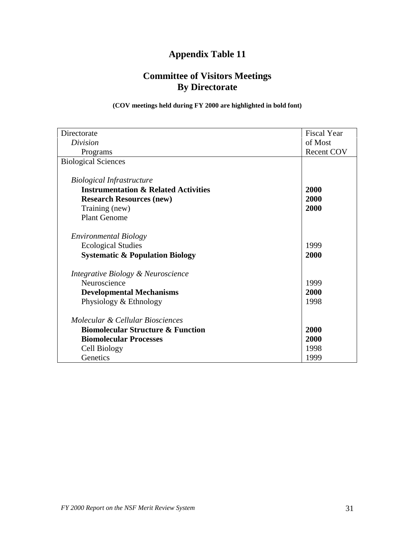### **Appendix Table 11**

### **Committee of Visitors Meetings By Directorate**

#### **(COV meetings held during FY 2000 are highlighted in bold font)**

| Directorate                                     | <b>Fiscal Year</b> |  |
|-------------------------------------------------|--------------------|--|
| Division                                        | of Most            |  |
| Programs                                        | <b>Recent COV</b>  |  |
| <b>Biological Sciences</b>                      |                    |  |
|                                                 |                    |  |
| <b>Biological Infrastructure</b>                |                    |  |
| <b>Instrumentation &amp; Related Activities</b> | 2000               |  |
| <b>Research Resources (new)</b>                 | 2000               |  |
| Training (new)                                  | 2000               |  |
| <b>Plant Genome</b>                             |                    |  |
| <b>Environmental Biology</b>                    |                    |  |
| <b>Ecological Studies</b>                       | 1999               |  |
| <b>Systematic &amp; Population Biology</b>      | 2000               |  |
| Integrative Biology & Neuroscience              |                    |  |
| Neuroscience                                    | 1999               |  |
| <b>Developmental Mechanisms</b>                 | 2000               |  |
| Physiology & Ethnology                          | 1998               |  |
| Molecular & Cellular Biosciences                |                    |  |
| <b>Biomolecular Structure &amp; Function</b>    | 2000               |  |
| <b>Biomolecular Processes</b>                   | 2000               |  |
| Cell Biology                                    | 1998               |  |
| Genetics                                        | 1999               |  |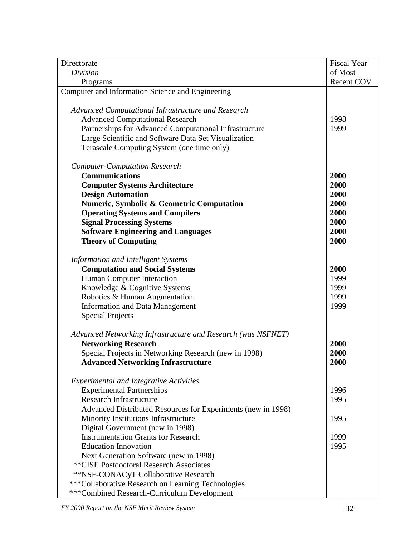| Directorate                                                  | <b>Fiscal Year</b> |
|--------------------------------------------------------------|--------------------|
| Division                                                     | of Most            |
| Programs                                                     | Recent COV         |
| Computer and Information Science and Engineering             |                    |
|                                                              |                    |
| Advanced Computational Infrastructure and Research           |                    |
| <b>Advanced Computational Research</b>                       | 1998               |
| Partnerships for Advanced Computational Infrastructure       | 1999               |
| Large Scientific and Software Data Set Visualization         |                    |
| Terascale Computing System (one time only)                   |                    |
|                                                              |                    |
| <b>Computer-Computation Research</b>                         |                    |
| <b>Communications</b>                                        | 2000               |
| <b>Computer Systems Architecture</b>                         | 2000               |
| <b>Design Automation</b>                                     | 2000               |
| <b>Numeric, Symbolic &amp; Geometric Computation</b>         | 2000               |
| <b>Operating Systems and Compilers</b>                       | 2000               |
| <b>Signal Processing Systems</b>                             | 2000               |
| <b>Software Engineering and Languages</b>                    | 2000               |
| <b>Theory of Computing</b>                                   | 2000               |
|                                                              |                    |
| <b>Information and Intelligent Systems</b>                   |                    |
| <b>Computation and Social Systems</b>                        | 2000               |
| Human Computer Interaction                                   | 1999               |
| Knowledge & Cognitive Systems                                | 1999               |
| Robotics & Human Augmentation                                | 1999               |
| <b>Information and Data Management</b>                       | 1999               |
| <b>Special Projects</b>                                      |                    |
|                                                              |                    |
| Advanced Networking Infrastructure and Research (was NSFNET) |                    |
| <b>Networking Research</b>                                   | 2000               |
| Special Projects in Networking Research (new in 1998)        | 2000               |
| <b>Advanced Networking Infrastructure</b>                    | 2000               |
|                                                              |                    |
| <b>Experimental and Integrative Activities</b>               |                    |
| <b>Experimental Partnerships</b>                             | 1996               |
| <b>Research Infrastructure</b>                               | 1995               |
| Advanced Distributed Resources for Experiments (new in 1998) |                    |
| Minority Institutions Infrastructure                         | 1995               |
| Digital Government (new in 1998)                             |                    |
| <b>Instrumentation Grants for Research</b>                   | 1999               |
| <b>Education Innovation</b>                                  | 1995               |
| Next Generation Software (new in 1998)                       |                    |
| <b>**CISE Postdoctoral Research Associates</b>               |                    |
| **NSF-CONACyT Collaborative Research                         |                    |
| ***Collaborative Research on Learning Technologies           |                    |
| ***Combined Research-Curriculum Development                  |                    |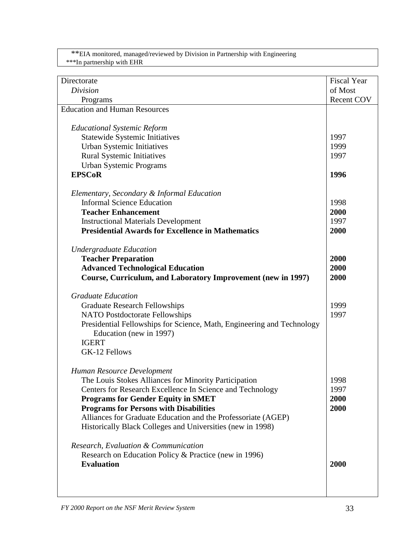\*\*EIA monitored, managed/reviewed by Division in Partnership with Engineering \*\*\*In partnership with EHR

| Directorate                                                            | <b>Fiscal Year</b> |
|------------------------------------------------------------------------|--------------------|
| <b>Division</b>                                                        | of Most            |
| Programs                                                               | Recent COV         |
| <b>Education and Human Resources</b>                                   |                    |
|                                                                        |                    |
| <b>Educational Systemic Reform</b>                                     |                    |
| <b>Statewide Systemic Initiatives</b>                                  | 1997               |
| Urban Systemic Initiatives                                             | 1999               |
| <b>Rural Systemic Initiatives</b>                                      | 1997               |
| <b>Urban Systemic Programs</b>                                         |                    |
| <b>EPSCoR</b>                                                          | 1996               |
|                                                                        |                    |
| Elementary, Secondary & Informal Education                             |                    |
| <b>Informal Science Education</b>                                      | 1998               |
| <b>Teacher Enhancement</b>                                             | 2000               |
| <b>Instructional Materials Development</b>                             | 1997               |
| <b>Presidential Awards for Excellence in Mathematics</b>               | 2000               |
|                                                                        |                    |
| <b>Undergraduate Education</b>                                         |                    |
| <b>Teacher Preparation</b>                                             | 2000               |
| <b>Advanced Technological Education</b>                                | 2000               |
| Course, Curriculum, and Laboratory Improvement (new in 1997)           | 2000               |
|                                                                        |                    |
| <b>Graduate Education</b>                                              |                    |
| <b>Graduate Research Fellowships</b>                                   | 1999               |
| <b>NATO Postdoctorate Fellowships</b>                                  | 1997               |
| Presidential Fellowships for Science, Math, Engineering and Technology |                    |
| Education (new in 1997)                                                |                    |
| <b>IGERT</b>                                                           |                    |
| GK-12 Fellows                                                          |                    |
|                                                                        |                    |
|                                                                        |                    |
| Human Resource Development                                             |                    |
| The Louis Stokes Alliances for Minority Participation                  | 1998               |
| Centers for Research Excellence In Science and Technology              | 1997               |
| <b>Programs for Gender Equity in SMET</b>                              | 2000               |
| <b>Programs for Persons with Disabilities</b>                          | 2000               |
| Alliances for Graduate Education and the Professoriate (AGEP)          |                    |
| Historically Black Colleges and Universities (new in 1998)             |                    |
|                                                                        |                    |
| Research, Evaluation & Communication                                   |                    |
| Research on Education Policy & Practice (new in 1996)                  |                    |
| <b>Evaluation</b>                                                      | 2000               |
|                                                                        |                    |
|                                                                        |                    |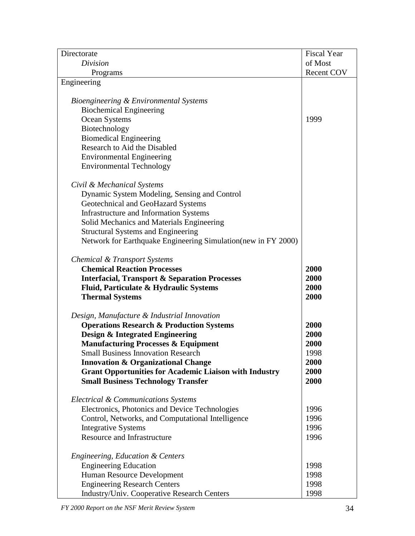| Directorate                                                    | <b>Fiscal Year</b> |
|----------------------------------------------------------------|--------------------|
| Division                                                       | of Most            |
| Programs                                                       | <b>Recent COV</b>  |
| Engineering                                                    |                    |
|                                                                |                    |
| Bioengineering & Environmental Systems                         |                    |
| <b>Biochemical Engineering</b>                                 |                    |
| Ocean Systems                                                  | 1999               |
| Biotechnology                                                  |                    |
| <b>Biomedical Engineering</b>                                  |                    |
| Research to Aid the Disabled                                   |                    |
| <b>Environmental Engineering</b>                               |                    |
| <b>Environmental Technology</b>                                |                    |
|                                                                |                    |
| Civil & Mechanical Systems                                     |                    |
| Dynamic System Modeling, Sensing and Control                   |                    |
| Geotechnical and GeoHazard Systems                             |                    |
| Infrastructure and Information Systems                         |                    |
| Solid Mechanics and Materials Engineering                      |                    |
| <b>Structural Systems and Engineering</b>                      |                    |
| Network for Earthquake Engineering Simulation (new in FY 2000) |                    |
|                                                                |                    |
| Chemical & Transport Systems                                   |                    |
| <b>Chemical Reaction Processes</b>                             | 2000               |
| <b>Interfacial, Transport &amp; Separation Processes</b>       | 2000               |
| Fluid, Particulate & Hydraulic Systems                         | 2000               |
| <b>Thermal Systems</b>                                         | 2000               |
|                                                                |                    |
| Design, Manufacture & Industrial Innovation                    |                    |
| <b>Operations Research &amp; Production Systems</b>            | 2000               |
| <b>Design &amp; Integrated Engineering</b>                     | 2000               |
| <b>Manufacturing Processes &amp; Equipment</b>                 | 2000               |
| <b>Small Business Innovation Research</b>                      | 1998               |
| <b>Innovation &amp; Organizational Change</b>                  | 2000               |
| <b>Grant Opportunities for Academic Liaison with Industry</b>  | 2000               |
| <b>Small Business Technology Transfer</b>                      | 2000               |
|                                                                |                    |
| Electrical & Communications Systems                            |                    |
| Electronics, Photonics and Device Technologies                 | 1996               |
| Control, Networks, and Computational Intelligence              | 1996               |
| <b>Integrative Systems</b>                                     | 1996               |
| Resource and Infrastructure                                    | 1996               |
|                                                                |                    |
| <b>Engineering, Education &amp; Centers</b>                    |                    |
| <b>Engineering Education</b>                                   | 1998               |
| Human Resource Development                                     | 1998               |
| <b>Engineering Research Centers</b>                            | 1998               |
| <b>Industry/Univ. Cooperative Research Centers</b>             | 1998               |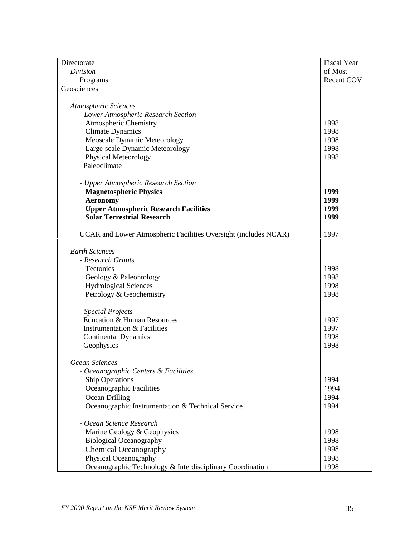| Directorate                                                     | <b>Fiscal Year</b> |
|-----------------------------------------------------------------|--------------------|
| Division                                                        | of Most            |
| Programs                                                        | <b>Recent COV</b>  |
| Geosciences                                                     |                    |
|                                                                 |                    |
| Atmospheric Sciences                                            |                    |
| - Lower Atmospheric Research Section                            |                    |
| <b>Atmospheric Chemistry</b>                                    | 1998               |
| <b>Climate Dynamics</b>                                         | 1998               |
| Meoscale Dynamic Meteorology                                    | 1998               |
| Large-scale Dynamic Meteorology                                 | 1998               |
| <b>Physical Meteorology</b>                                     | 1998               |
| Paleoclimate                                                    |                    |
|                                                                 |                    |
| - Upper Atmospheric Research Section                            |                    |
| <b>Magnetospheric Physics</b>                                   | 1999               |
| <b>Aeronomy</b>                                                 | 1999               |
| <b>Upper Atmospheric Research Facilities</b>                    | 1999               |
| <b>Solar Terrestrial Research</b>                               | 1999               |
|                                                                 |                    |
| UCAR and Lower Atmospheric Facilities Oversight (includes NCAR) | 1997               |
|                                                                 |                    |
| <b>Earth Sciences</b>                                           |                    |
| - Research Grants                                               |                    |
| Tectonics                                                       | 1998               |
| Geology & Paleontology                                          | 1998               |
| <b>Hydrological Sciences</b>                                    | 1998               |
| Petrology & Geochemistry                                        | 1998               |
| - Special Projects                                              |                    |
| <b>Education &amp; Human Resources</b>                          | 1997               |
| <b>Instrumentation &amp; Facilities</b>                         | 1997               |
| <b>Continental Dynamics</b>                                     | 1998               |
| Geophysics                                                      | 1998               |
|                                                                 |                    |
| Ocean Sciences                                                  |                    |
| - Oceanographic Centers & Facilities                            |                    |
| <b>Ship Operations</b>                                          | 1994               |
| Oceanographic Facilities                                        | 1994               |
| Ocean Drilling                                                  | 1994               |
|                                                                 | 1994               |
| Oceanographic Instrumentation & Technical Service               |                    |
| - Ocean Science Research                                        |                    |
| Marine Geology & Geophysics                                     | 1998               |
| <b>Biological Oceanography</b>                                  | 1998               |
| <b>Chemical Oceanography</b>                                    | 1998               |
| Physical Oceanography                                           | 1998               |
| Oceanographic Technology & Interdisciplinary Coordination       | 1998               |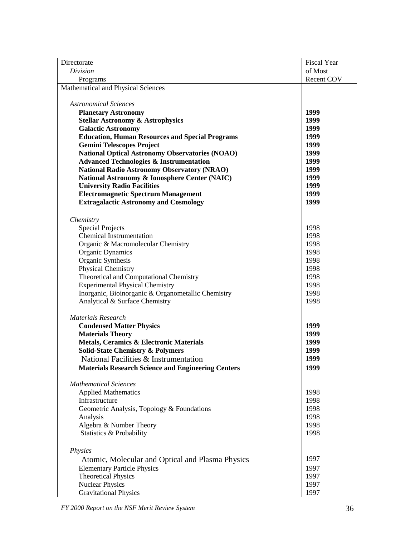| Directorate                                               | <b>Fiscal Year</b> |
|-----------------------------------------------------------|--------------------|
| Division                                                  | of Most            |
| Programs                                                  | <b>Recent COV</b>  |
| Mathematical and Physical Sciences                        |                    |
|                                                           |                    |
| <b>Astronomical Sciences</b>                              |                    |
| <b>Planetary Astronomy</b>                                | 1999               |
| <b>Stellar Astronomy &amp; Astrophysics</b>               | 1999               |
| <b>Galactic Astronomy</b>                                 | 1999               |
| <b>Education, Human Resources and Special Programs</b>    | 1999               |
| <b>Gemini Telescopes Project</b>                          | 1999               |
| <b>National Optical Astronomy Observatories (NOAO)</b>    | 1999               |
| <b>Advanced Technologies &amp; Instrumentation</b>        | 1999               |
| <b>National Radio Astronomy Observatory (NRAO)</b>        | 1999               |
| National Astronomy & Ionosphere Center (NAIC)             | 1999               |
| <b>University Radio Facilities</b>                        | 1999               |
| <b>Electromagnetic Spectrum Management</b>                | 1999               |
| <b>Extragalactic Astronomy and Cosmology</b>              | 1999               |
|                                                           |                    |
| Chemistry                                                 |                    |
| <b>Special Projects</b>                                   | 1998               |
| <b>Chemical Instrumentation</b>                           | 1998               |
| Organic & Macromolecular Chemistry                        | 1998               |
| <b>Organic Dynamics</b>                                   | 1998               |
| Organic Synthesis                                         | 1998               |
| <b>Physical Chemistry</b>                                 | 1998               |
| Theoretical and Computational Chemistry                   | 1998               |
| <b>Experimental Physical Chemistry</b>                    | 1998               |
| Inorganic, Bioinorganic & Organometallic Chemistry        | 1998               |
| Analytical & Surface Chemistry                            | 1998               |
|                                                           |                    |
| <b>Materials Research</b>                                 |                    |
| <b>Condensed Matter Physics</b>                           | 1999               |
| <b>Materials Theory</b>                                   | 1999               |
| Metals, Ceramics & Electronic Materials                   | 1999               |
| <b>Solid-State Chemistry &amp; Polymers</b>               | 1999               |
| National Facilities & Instrumentation                     | 1999               |
| <b>Materials Research Science and Engineering Centers</b> | 1999               |
|                                                           |                    |
| <b>Mathematical Sciences</b>                              |                    |
| <b>Applied Mathematics</b>                                | 1998               |
| Infrastructure                                            | 1998               |
| Geometric Analysis, Topology & Foundations                | 1998               |
| Analysis                                                  | 1998               |
| Algebra & Number Theory                                   | 1998               |
| Statistics & Probability                                  | 1998               |
|                                                           |                    |
| <b>Physics</b>                                            |                    |
|                                                           | 1997               |
| Atomic, Molecular and Optical and Plasma Physics          |                    |
| <b>Elementary Particle Physics</b>                        | 1997               |
| <b>Theoretical Physics</b>                                | 1997               |
| <b>Nuclear Physics</b>                                    | 1997               |
| <b>Gravitational Physics</b>                              | 1997               |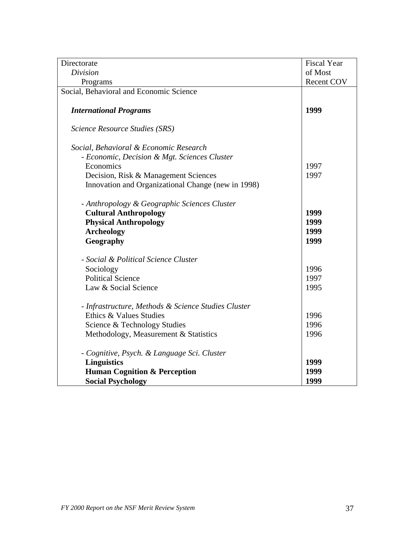| Directorate                                                                    | <b>Fiscal Year</b> |
|--------------------------------------------------------------------------------|--------------------|
| <b>Division</b>                                                                | of Most            |
| Programs                                                                       | <b>Recent COV</b>  |
| Social, Behavioral and Economic Science                                        |                    |
|                                                                                |                    |
| <b>International Programs</b>                                                  | 1999               |
|                                                                                |                    |
| Science Resource Studies (SRS)                                                 |                    |
|                                                                                |                    |
| Social, Behavioral & Economic Research                                         |                    |
| - Economic, Decision & Mgt. Sciences Cluster                                   |                    |
| Economics                                                                      | 1997               |
| Decision, Risk & Management Sciences                                           | 1997               |
| Innovation and Organizational Change (new in 1998)                             |                    |
|                                                                                |                    |
| - Anthropology & Geographic Sciences Cluster                                   |                    |
| <b>Cultural Anthropology</b>                                                   | 1999               |
| <b>Physical Anthropology</b>                                                   | 1999               |
| <b>Archeology</b>                                                              | 1999               |
| Geography                                                                      | 1999               |
|                                                                                |                    |
| - Social & Political Science Cluster                                           |                    |
| Sociology                                                                      | 1996               |
| <b>Political Science</b>                                                       | 1997               |
| Law & Social Science                                                           | 1995               |
|                                                                                |                    |
| - Infrastructure, Methods & Science Studies Cluster<br>Ethics & Values Studies |                    |
|                                                                                | 1996               |
| Science & Technology Studies                                                   | 1996               |
| Methodology, Measurement & Statistics                                          | 1996               |
| - Cognitive, Psych. & Language Sci. Cluster                                    |                    |
| <b>Linguistics</b>                                                             | 1999               |
| <b>Human Cognition &amp; Perception</b>                                        | 1999               |
| <b>Social Psychology</b>                                                       | 1999               |
|                                                                                |                    |